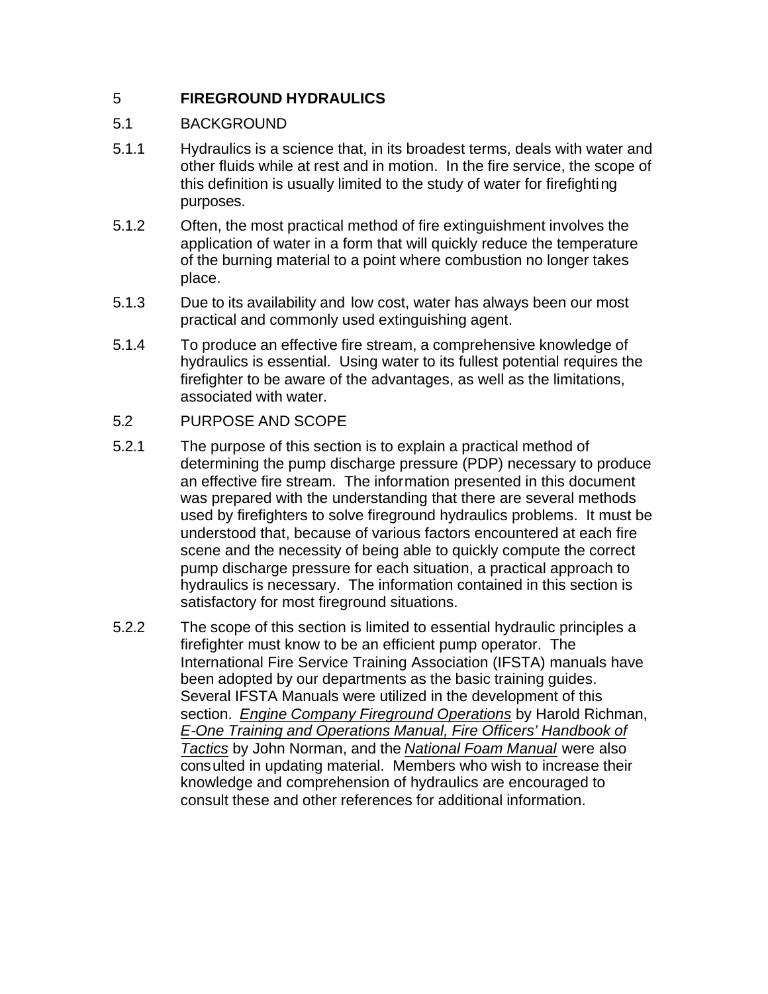# 5 **FIREGROUND HYDRAULICS**

## 5.1 BACKGROUND

- 5.1.1 Hydraulics is a science that, in its broadest terms, deals with water and other fluids while at rest and in motion. In the fire service, the scope of this definition is usually limited to the study of water for firefighting purposes.
- 5.1.2 Often, the most practical method of fire extinguishment involves the application of water in a form that will quickly reduce the temperature of the burning material to a point where combustion no longer takes place.
- 5.1.3 Due to its availability and low cost, water has always been our most practical and commonly used extinguishing agent.
- 5.1.4 To produce an effective fire stream, a comprehensive knowledge of hydraulics is essential. Using water to its fullest potential requires the firefighter to be aware of the advantages, as well as the limitations, associated with water.
- 5.2 PURPOSE AND SCOPE
- 5.2.1 The purpose of this section is to explain a practical method of determining the pump discharge pressure (PDP) necessary to produce an effective fire stream. The information presented in this document was prepared with the understanding that there are several methods used by firefighters to solve fireground hydraulics problems. It must be understood that, because of various factors encountered at each fire scene and the necessity of being able to quickly compute the correct pump discharge pressure for each situation, a practical approach to hydraulics is necessary. The information contained in this section is satisfactory for most fireground situations.
- 5.2.2 The scope of this section is limited to essential hydraulic principles a firefighter must know to be an efficient pump operator. The International Fire Service Training Association (IFSTA) manuals have been adopted by our departments as the basic training guides. Several IFSTA Manuals were utilized in the development of this section. *Engine Company Fireground Operations* by Harold Richman, *E-One Training and Operations Manual, Fire Officers' Handbook of Tactics* by John Norman, and the *National Foam Manual* were also consulted in updating material. Members who wish to increase their knowledge and comprehension of hydraulics are encouraged to consult these and other references for additional information.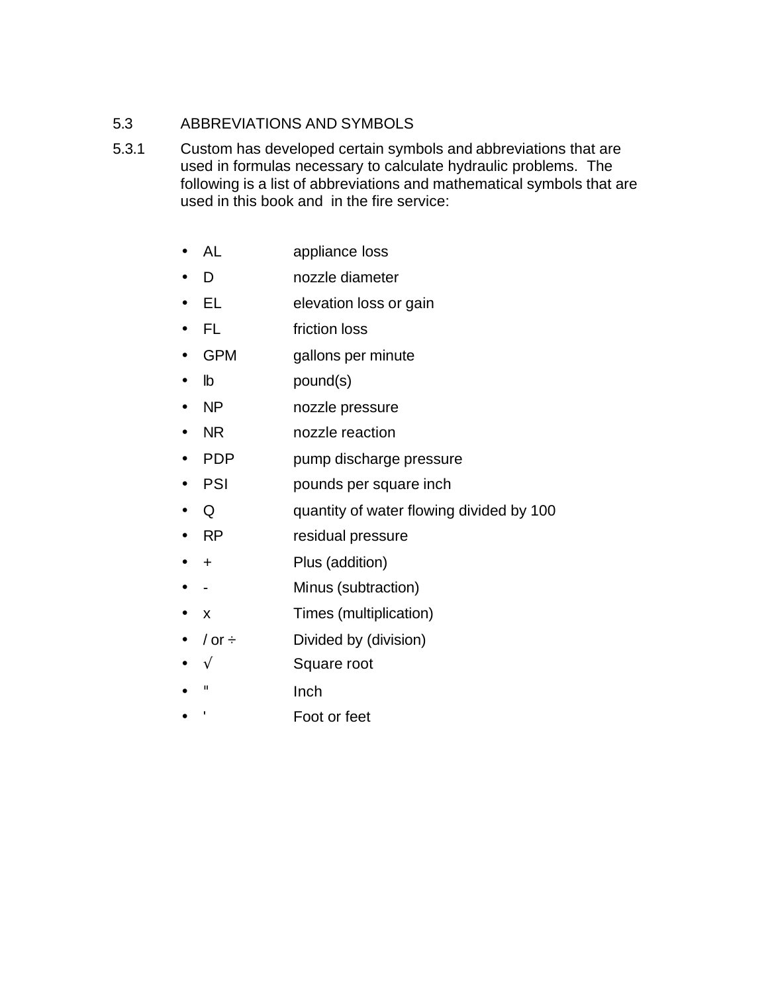## 5.3 ABBREVIATIONS AND SYMBOLS

- 5.3.1 Custom has developed certain symbols and abbreviations that are used in formulas necessary to calculate hydraulic problems. The following is a list of abbreviations and mathematical symbols that are used in this book and in the fire service:
	- AL appliance loss
	- D nozzle diameter
	- EL elevation loss or gain
	- FL friction loss
	- GPM gallons per minute
	- lb pound(s)
	- NP nozzle pressure
	- NR nozzle reaction
	- PDP pump discharge pressure
	- PSI pounds per square inch
	- Q quantity of water flowing divided by 100
	- RP residual pressure
	- + Plus (addition)
	- - Minus (subtraction)
	- x Times (multiplication)
	- $\sqrt{or} \div$  Divided by (division)
	- $\sqrt{ }$  Square root
	- " Inch
	- ' Foot or feet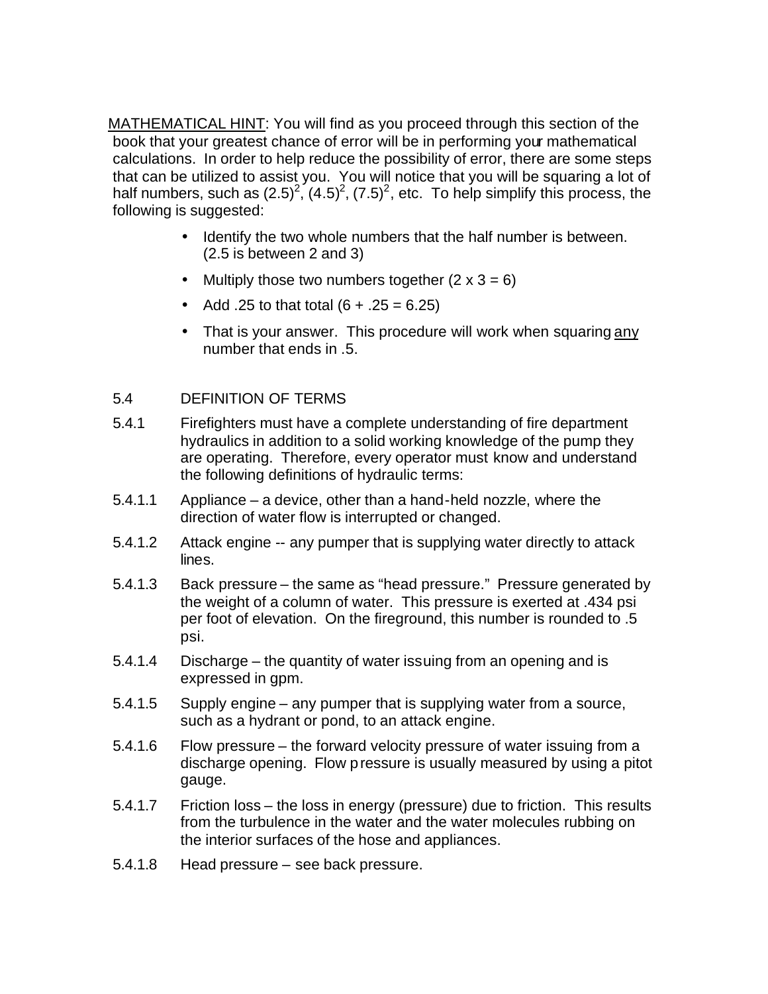MATHEMATICAL HINT: You will find as you proceed through this section of the book that your greatest chance of error will be in performing your mathematical calculations. In order to help reduce the possibility of error, there are some steps that can be utilized to assist you. You will notice that you will be squaring a lot of half numbers, such as  $(2.5)^2$ ,  $(4.5)^2$ ,  $(7.5)^2$ , etc. To help simplify this process, the following is suggested:

- Identify the two whole numbers that the half number is between. (2.5 is between 2 and 3)
- Multiply those two numbers together  $(2 \times 3 = 6)$
- Add .25 to that total  $(6 + .25 = 6.25)$
- That is your answer. This procedure will work when squaring any number that ends in .5.

## 5.4 DEFINITION OF TERMS

- 5.4.1 Firefighters must have a complete understanding of fire department hydraulics in addition to a solid working knowledge of the pump they are operating. Therefore, every operator must know and understand the following definitions of hydraulic terms:
- 5.4.1.1 Appliance a device, other than a hand-held nozzle, where the direction of water flow is interrupted or changed.
- 5.4.1.2 Attack engine -- any pumper that is supplying water directly to attack lines.
- 5.4.1.3 Back pressure the same as "head pressure." Pressure generated by the weight of a column of water. This pressure is exerted at .434 psi per foot of elevation. On the fireground, this number is rounded to .5 psi.
- 5.4.1.4 Discharge the quantity of water issuing from an opening and is expressed in gpm.
- 5.4.1.5 Supply engine any pumper that is supplying water from a source, such as a hydrant or pond, to an attack engine.
- 5.4.1.6 Flow pressure the forward velocity pressure of water issuing from a discharge opening. Flow pressure is usually measured by using a pitot gauge.
- 5.4.1.7 Friction loss the loss in energy (pressure) due to friction. This results from the turbulence in the water and the water molecules rubbing on the interior surfaces of the hose and appliances.
- 5.4.1.8 Head pressure see back pressure.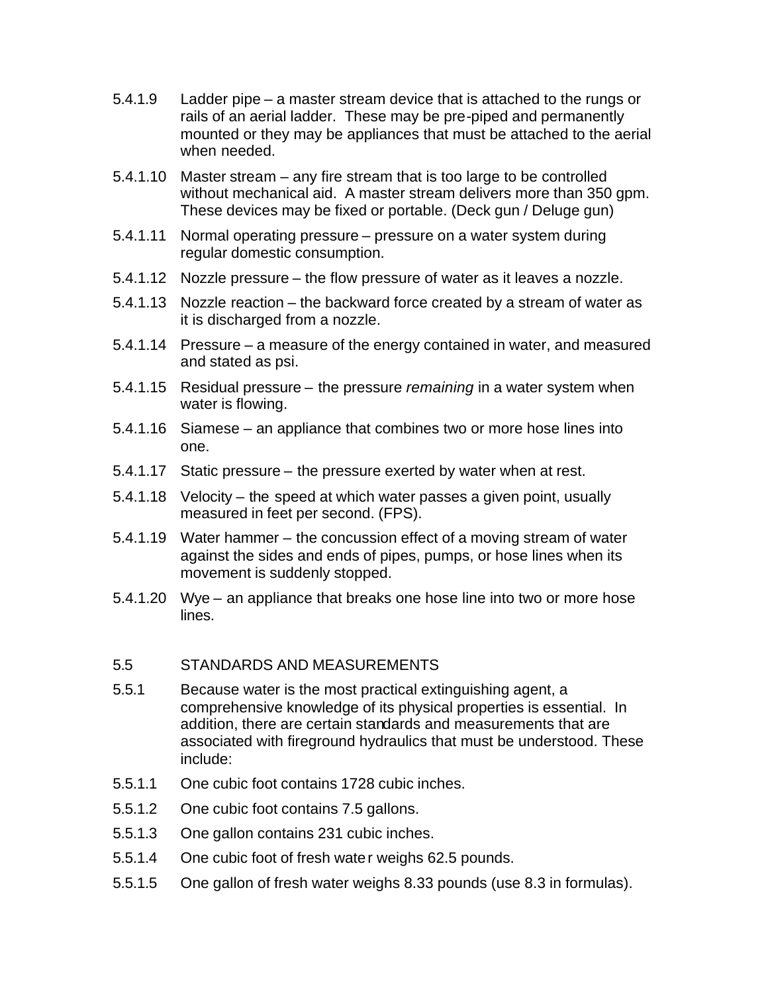- 5.4.1.9 Ladder pipe a master stream device that is attached to the rungs or rails of an aerial ladder. These may be pre-piped and permanently mounted or they may be appliances that must be attached to the aerial when needed.
- 5.4.1.10 Master stream any fire stream that is too large to be controlled without mechanical aid. A master stream delivers more than 350 gpm. These devices may be fixed or portable. (Deck gun / Deluge gun)
- 5.4.1.11 Normal operating pressure pressure on a water system during regular domestic consumption.
- 5.4.1.12 Nozzle pressure the flow pressure of water as it leaves a nozzle.
- 5.4.1.13 Nozzle reaction the backward force created by a stream of water as it is discharged from a nozzle.
- 5.4.1.14 Pressure a measure of the energy contained in water, and measured and stated as psi.
- 5.4.1.15 Residual pressure the pressure *remaining* in a water system when water is flowing.
- 5.4.1.16 Siamese an appliance that combines two or more hose lines into one.
- 5.4.1.17 Static pressure the pressure exerted by water when at rest.
- 5.4.1.18 Velocity the speed at which water passes a given point, usually measured in feet per second. (FPS).
- 5.4.1.19 Water hammer the concussion effect of a moving stream of water against the sides and ends of pipes, pumps, or hose lines when its movement is suddenly stopped.
- 5.4.1.20 Wye an appliance that breaks one hose line into two or more hose lines.

#### 5.5 STANDARDS AND MEASUREMENTS

- 5.5.1 Because water is the most practical extinguishing agent, a comprehensive knowledge of its physical properties is essential. In addition, there are certain standards and measurements that are associated with fireground hydraulics that must be understood. These include:
- 5.5.1.1 One cubic foot contains 1728 cubic inches.
- 5.5.1.2 One cubic foot contains 7.5 gallons.
- 5.5.1.3 One gallon contains 231 cubic inches.
- 5.5.1.4 One cubic foot of fresh water weighs 62.5 pounds.
- 5.5.1.5 One gallon of fresh water weighs 8.33 pounds (use 8.3 in formulas).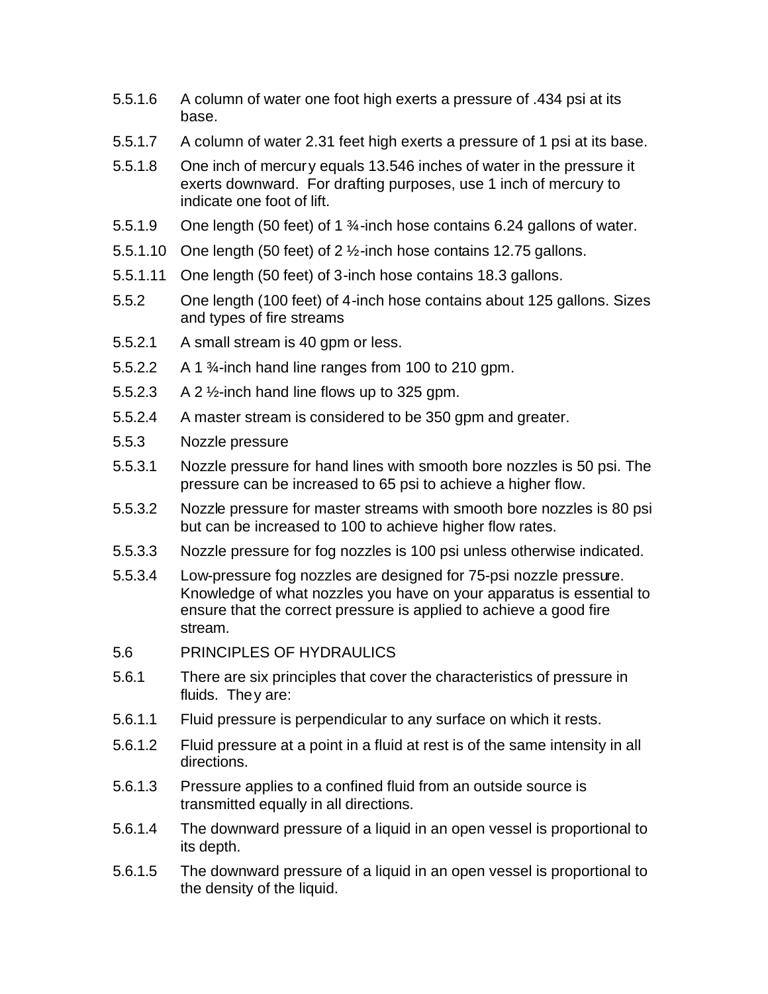- 5.5.1.6 A column of water one foot high exerts a pressure of .434 psi at its base.
- 5.5.1.7 A column of water 2.31 feet high exerts a pressure of 1 psi at its base.
- 5.5.1.8 One inch of mercury equals 13.546 inches of water in the pressure it exerts downward. For drafting purposes, use 1 inch of mercury to indicate one foot of lift.
- 5.5.1.9 One length (50 feet) of 1 ¾-inch hose contains 6.24 gallons of water.
- 5.5.1.10 One length (50 feet) of 2  $\frac{1}{2}$ -inch hose contains 12.75 gallons.
- 5.5.1.11 One length (50 feet) of 3-inch hose contains 18.3 gallons.
- 5.5.2 One length (100 feet) of 4-inch hose contains about 125 gallons. Sizes and types of fire streams
- 5.5.2.1 A small stream is 40 gpm or less.
- 5.5.2.2  $\land$  1  $\frac{3}{4}$ -inch hand line ranges from 100 to 210 gpm.
- 5.5.2.3 A 2  $\frac{1}{2}$ -inch hand line flows up to 325 gpm.
- 5.5.2.4 A master stream is considered to be 350 gpm and greater.
- 5.5.3 Nozzle pressure
- 5.5.3.1 Nozzle pressure for hand lines with smooth bore nozzles is 50 psi. The pressure can be increased to 65 psi to achieve a higher flow.
- 5.5.3.2 Nozzle pressure for master streams with smooth bore nozzles is 80 psi but can be increased to 100 to achieve higher flow rates.
- 5.5.3.3 Nozzle pressure for fog nozzles is 100 psi unless otherwise indicated.
- 5.5.3.4 Low-pressure fog nozzles are designed for 75-psi nozzle pressure. Knowledge of what nozzles you have on your apparatus is essential to ensure that the correct pressure is applied to achieve a good fire stream.
- 5.6 PRINCIPLES OF HYDRAULICS
- 5.6.1 There are six principles that cover the characteristics of pressure in fluids. They are:
- 5.6.1.1 Fluid pressure is perpendicular to any surface on which it rests.
- 5.6.1.2 Fluid pressure at a point in a fluid at rest is of the same intensity in all directions.
- 5.6.1.3 Pressure applies to a confined fluid from an outside source is transmitted equally in all directions.
- 5.6.1.4 The downward pressure of a liquid in an open vessel is proportional to its depth.
- 5.6.1.5 The downward pressure of a liquid in an open vessel is proportional to the density of the liquid.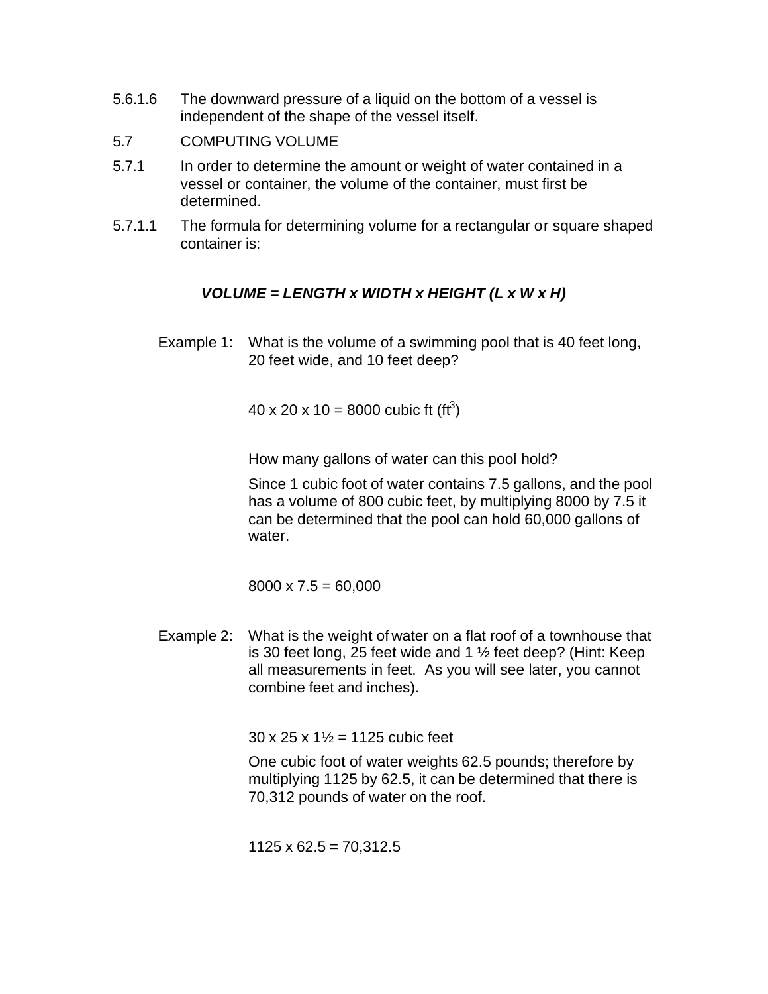- 5.6.1.6 The downward pressure of a liquid on the bottom of a vessel is independent of the shape of the vessel itself.
- 5.7 COMPUTING VOLUME
- 5.7.1 In order to determine the amount or weight of water contained in a vessel or container, the volume of the container, must first be determined.
- 5.7.1.1 The formula for determining volume for a rectangular or square shaped container is:

## *VOLUME = LENGTH x WIDTH x HEIGHT (L x W x H)*

Example 1: What is the volume of a swimming pool that is 40 feet long, 20 feet wide, and 10 feet deep?

40 x 20 x 10 = 8000 cubic ft (ft<sup>3</sup>)

How many gallons of water can this pool hold?

Since 1 cubic foot of water contains 7.5 gallons, and the pool has a volume of 800 cubic feet, by multiplying 8000 by 7.5 it can be determined that the pool can hold 60,000 gallons of water.

 $8000 \times 7.5 = 60,000$ 

Example 2: What is the weight of water on a flat roof of a townhouse that is 30 feet long, 25 feet wide and 1 ½ feet deep? (Hint: Keep all measurements in feet. As you will see later, you cannot combine feet and inches).

 $30 \times 25 \times 1\frac{1}{2} = 1125$  cubic feet

One cubic foot of water weights 62.5 pounds; therefore by multiplying 1125 by 62.5, it can be determined that there is 70,312 pounds of water on the roof.

 $1125 \times 62.5 = 70,312.5$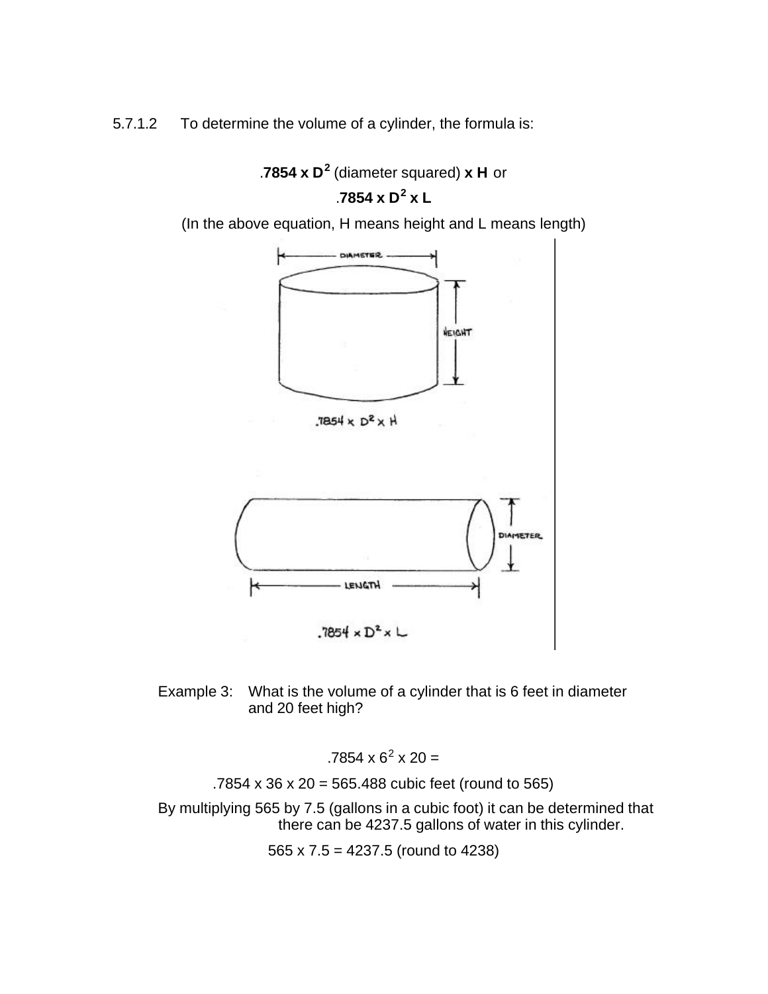5.7.1.2 To determine the volume of a cylinder, the formula is:



Example 3: What is the volume of a cylinder that is 6 feet in diameter and 20 feet high?

 $.7854 \times 6^2 \times 20 =$ 

.7854 x 36 x 20 = 565.488 cubic feet (round to 565)

By multiplying 565 by 7.5 (gallons in a cubic foot) it can be determined that there can be 4237.5 gallons of water in this cylinder.

565 x 7.5 = 4237.5 (round to 4238)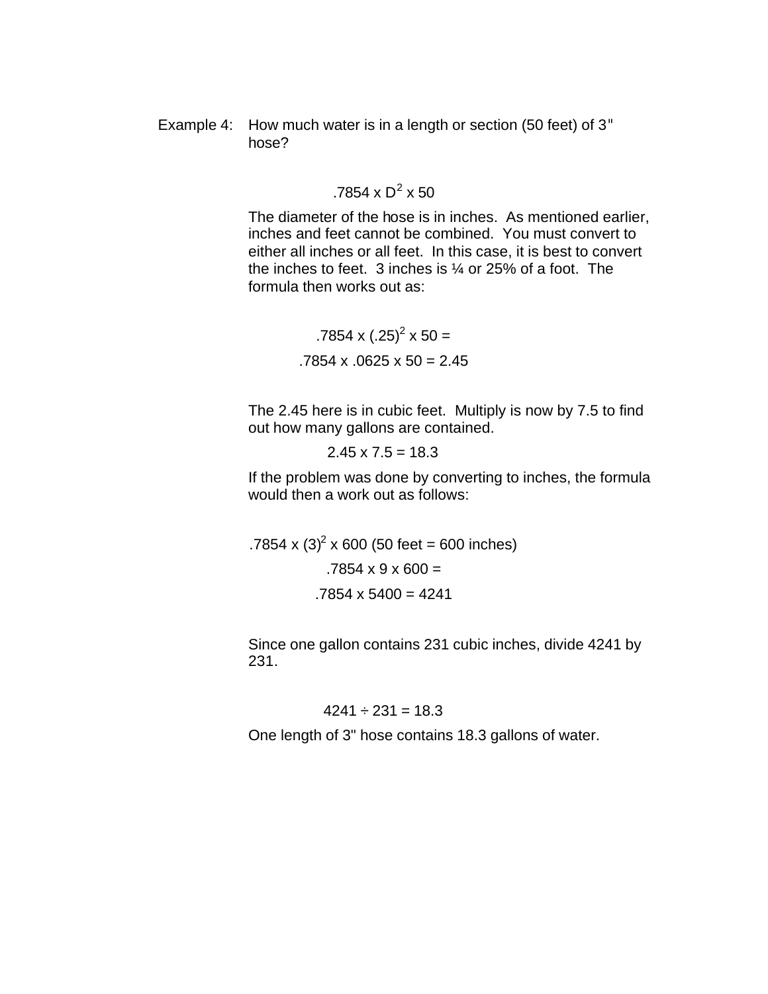Example 4: How much water is in a length or section (50 feet) of 3" hose?

### .7854 x  $D^2$  x 50

The diameter of the hose is in inches. As mentioned earlier, inches and feet cannot be combined. You must convert to either all inches or all feet. In this case, it is best to convert the inches to feet. 3 inches is ¼ or 25% of a foot. The formula then works out as:

> $.7854 \times (.25)^2 \times 50 =$  $.7854 \times .0625 \times 50 = 2.45$

The 2.45 here is in cubic feet. Multiply is now by 7.5 to find out how many gallons are contained.

 $2.45 \times 7.5 = 18.3$ 

If the problem was done by converting to inches, the formula would then a work out as follows:

.7854 x  $(3)^2$  x 600 (50 feet = 600 inches)  $.7854 \times 9 \times 600 =$  $.7854 \times 5400 = 4241$ 

Since one gallon contains 231 cubic inches, divide 4241 by 231.

#### $4241 \div 231 = 18.3$

One length of 3" hose contains 18.3 gallons of water.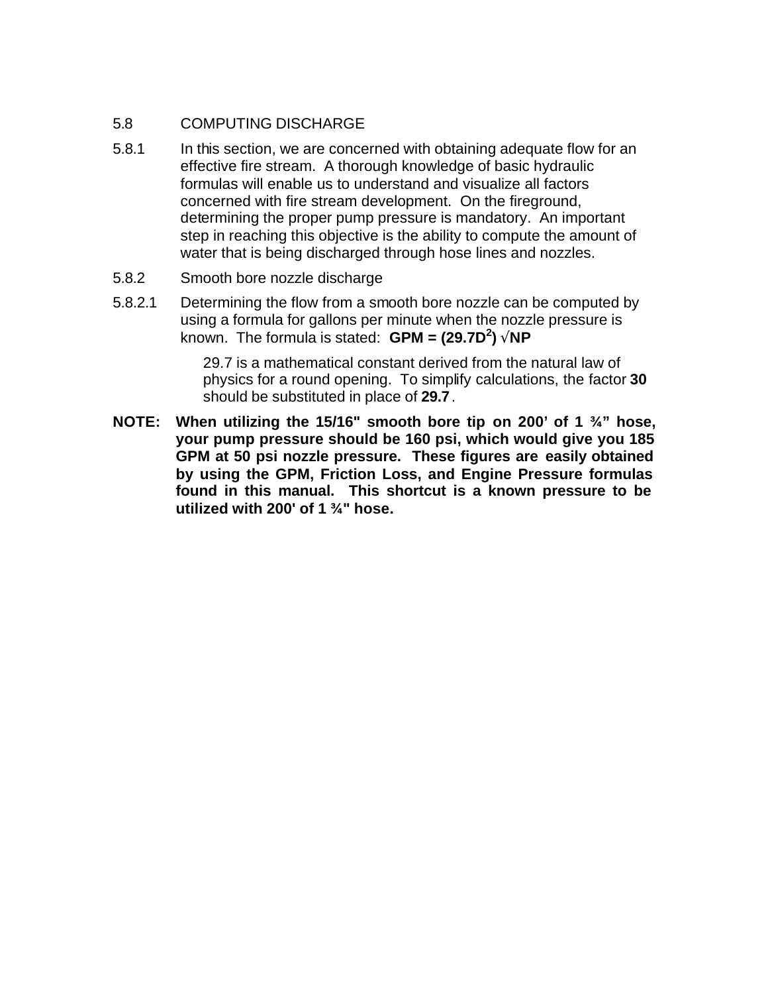#### 5.8 COMPUTING DISCHARGE

- 5.8.1 In this section, we are concerned with obtaining adequate flow for an effective fire stream. A thorough knowledge of basic hydraulic formulas will enable us to understand and visualize all factors concerned with fire stream development. On the fireground, determining the proper pump pressure is mandatory. An important step in reaching this objective is the ability to compute the amount of water that is being discharged through hose lines and nozzles.
- 5.8.2 Smooth bore nozzle discharge
- 5.8.2.1 Determining the flow from a smooth bore nozzle can be computed by using a formula for gallons per minute when the nozzle pressure is known. The formula is stated: **GPM = (29.7D<sup>2</sup> ) ÖNP**

29.7 is a mathematical constant derived from the natural law of physics for a round opening. To simplify calculations, the factor **30** should be substituted in place of **29.7**.

**NOTE: When utilizing the 15/16" smooth bore tip on 200' of 1 ¾" hose, your pump pressure should be 160 psi, which would give you 185 GPM at 50 psi nozzle pressure. These figures are easily obtained by using the GPM, Friction Loss, and Engine Pressure formulas found in this manual. This shortcut is a known pressure to be utilized with 200' of 1 ¾" hose.**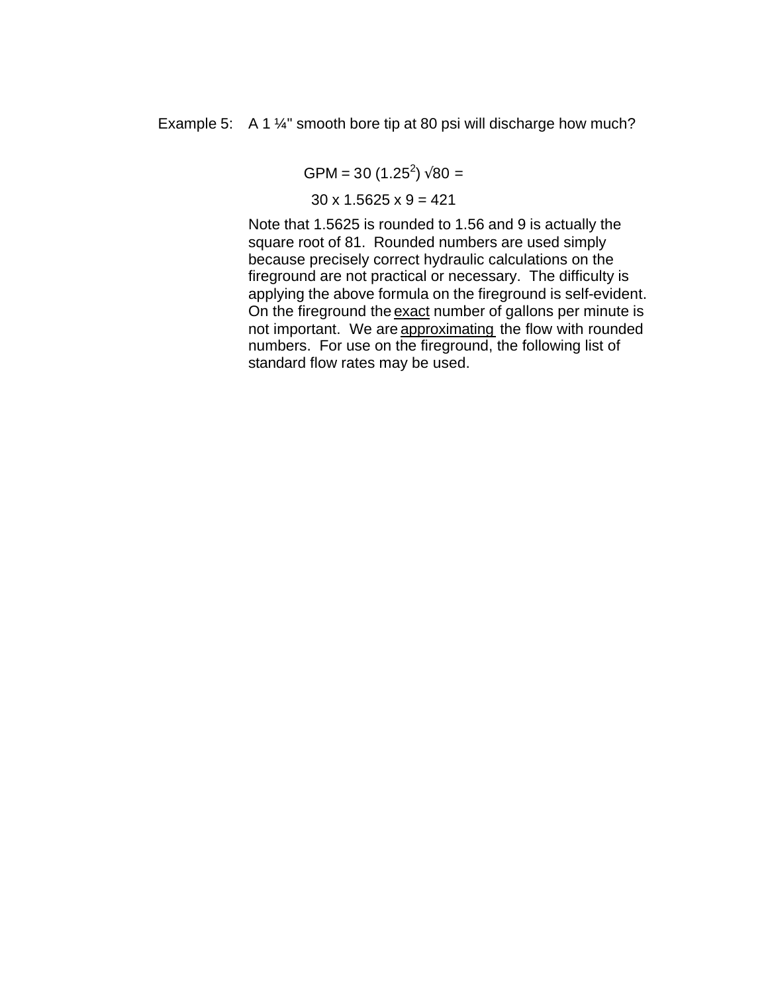Example 5: A 1 <sup>1</sup>/<sub>4</sub>" smooth bore tip at 80 psi will discharge how much?

 $GPM = 30 (1.25^2) \sqrt{80} =$ 

 $30 \times 1.5625 \times 9 = 421$ 

Note that 1.5625 is rounded to 1.56 and 9 is actually the square root of 81. Rounded numbers are used simply because precisely correct hydraulic calculations on the fireground are not practical or necessary. The difficulty is applying the above formula on the fireground is self-evident. On the fireground the exact number of gallons per minute is not important. We are approximating the flow with rounded numbers. For use on the fireground, the following list of standard flow rates may be used.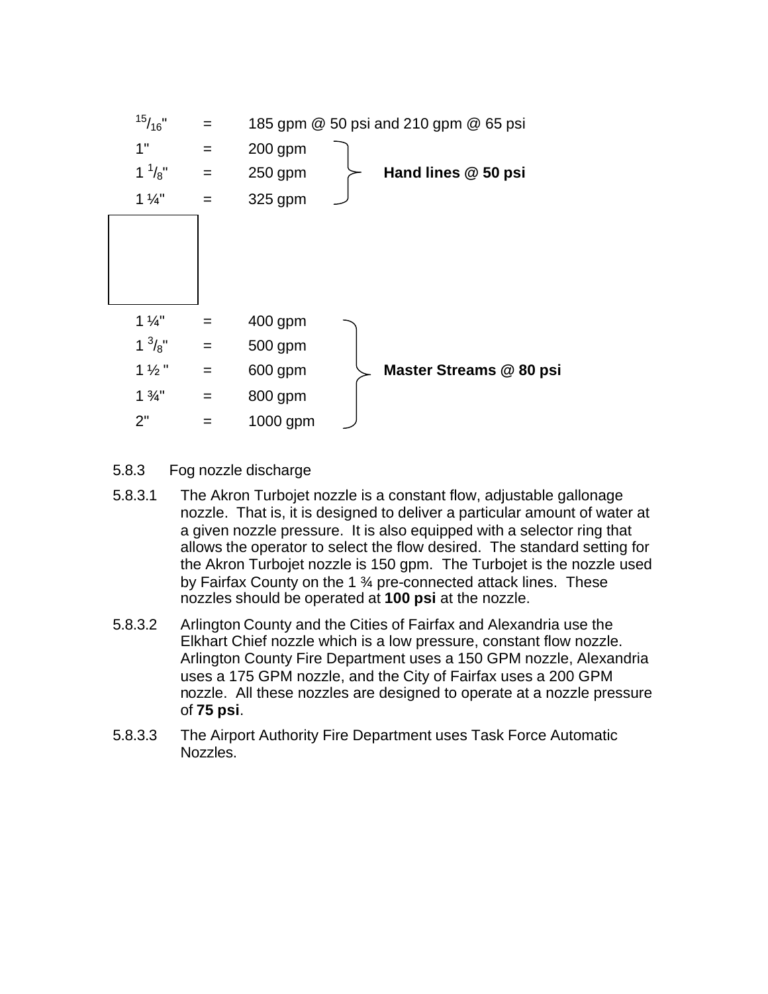

- 5.8.3 Fog nozzle discharge
- 5.8.3.1 The Akron Turbojet nozzle is a constant flow, adjustable gallonage nozzle. That is, it is designed to deliver a particular amount of water at a given nozzle pressure. It is also equipped with a selector ring that allows the operator to select the flow desired. The standard setting for the Akron Turbojet nozzle is 150 gpm. The Turbojet is the nozzle used by Fairfax County on the 1 <sup>3</sup>/4 pre-connected attack lines. These nozzles should be operated at **100 psi** at the nozzle.
- 5.8.3.2 Arlington County and the Cities of Fairfax and Alexandria use the Elkhart Chief nozzle which is a low pressure, constant flow nozzle. Arlington County Fire Department uses a 150 GPM nozzle, Alexandria uses a 175 GPM nozzle, and the City of Fairfax uses a 200 GPM nozzle. All these nozzles are designed to operate at a nozzle pressure of **75 psi**.
- 5.8.3.3 The Airport Authority Fire Department uses Task Force Automatic Nozzles.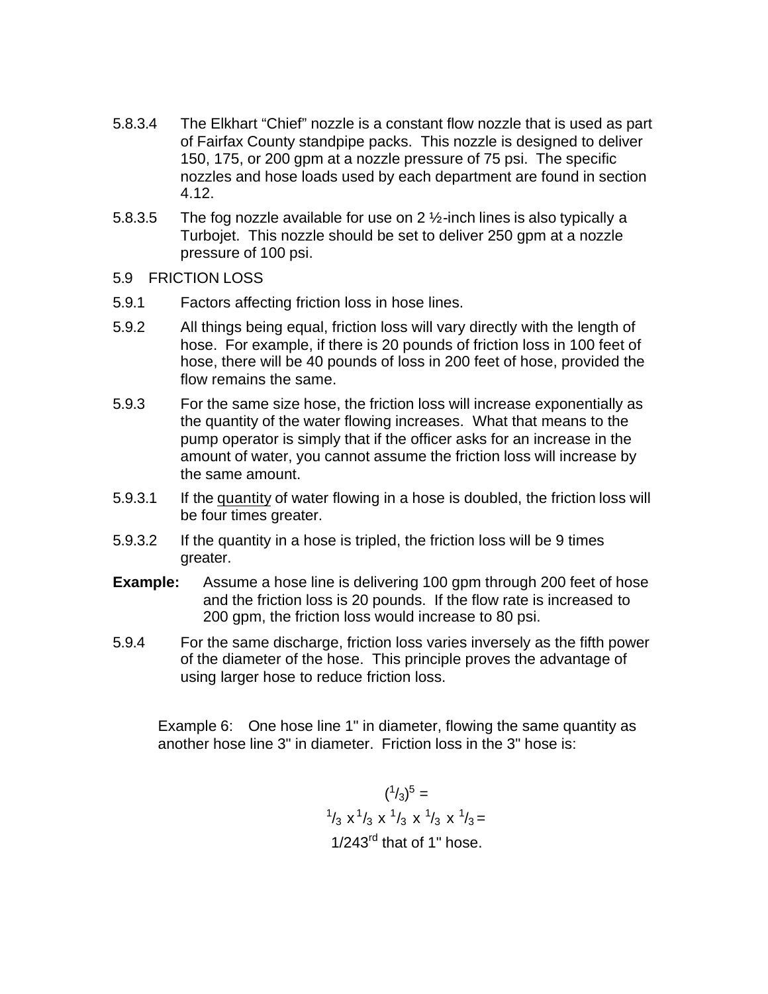- 5.8.3.4 The Elkhart "Chief" nozzle is a constant flow nozzle that is used as part of Fairfax County standpipe packs. This nozzle is designed to deliver 150, 175, or 200 gpm at a nozzle pressure of 75 psi. The specific nozzles and hose loads used by each department are found in section 4.12.
- 5.8.3.5 The fog nozzle available for use on 2 ½-inch lines is also typically a Turbojet. This nozzle should be set to deliver 250 gpm at a nozzle pressure of 100 psi.
- 5.9 FRICTION LOSS
- 5.9.1 Factors affecting friction loss in hose lines.
- 5.9.2 All things being equal, friction loss will vary directly with the length of hose. For example, if there is 20 pounds of friction loss in 100 feet of hose, there will be 40 pounds of loss in 200 feet of hose, provided the flow remains the same.
- 5.9.3 For the same size hose, the friction loss will increase exponentially as the quantity of the water flowing increases. What that means to the pump operator is simply that if the officer asks for an increase in the amount of water, you cannot assume the friction loss will increase by the same amount.
- 5.9.3.1 If the quantity of water flowing in a hose is doubled, the friction loss will be four times greater.
- 5.9.3.2 If the quantity in a hose is tripled, the friction loss will be 9 times greater.
- **Example:** Assume a hose line is delivering 100 gpm through 200 feet of hose and the friction loss is 20 pounds. If the flow rate is increased to 200 gpm, the friction loss would increase to 80 psi.
- 5.9.4 For the same discharge, friction loss varies inversely as the fifth power of the diameter of the hose. This principle proves the advantage of using larger hose to reduce friction loss.

Example 6: One hose line 1" in diameter, flowing the same quantity as another hose line 3" in diameter. Friction loss in the 3" hose is:

> $({}^{1}/_{3})^{5}$  =  $^{1}/_{3}$  x  $^{1}/_{3}$  x  $^{1}/_{3}$  x  $^{1}/_{3}$  x  $^{1}/_{3}$  =  $1/243^{\text{rd}}$  that of 1" hose.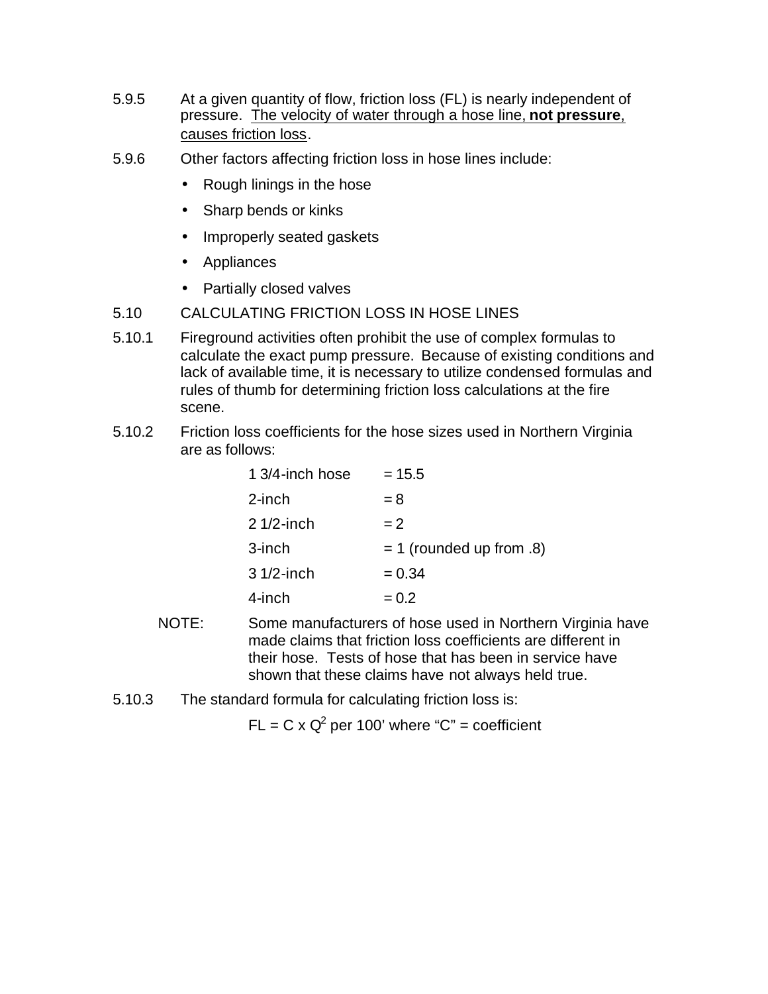- 5.9.5 At a given quantity of flow, friction loss (FL) is nearly independent of pressure. The velocity of water through a hose line, **not pressure**, causes friction loss.
- 5.9.6 Other factors affecting friction loss in hose lines include:
	- Rough linings in the hose
	- Sharp bends or kinks
	- Improperly seated gaskets
	- Appliances
	- Partially closed valves
- 5.10 CALCULATING FRICTION LOSS IN HOSE LINES
- 5.10.1 Fireground activities often prohibit the use of complex formulas to calculate the exact pump pressure. Because of existing conditions and lack of available time, it is necessary to utilize condensed formulas and rules of thumb for determining friction loss calculations at the fire scene.
- 5.10.2 Friction loss coefficients for the hose sizes used in Northern Virginia are as follows:

| 1 3/4-inch hose | $= 15.5$                   |
|-----------------|----------------------------|
| $2$ -inch       | $= 8$                      |
| $21/2$ -inch    | $= 2$                      |
| 3-inch          | $= 1$ (rounded up from .8) |
| $31/2$ -inch    | $= 0.34$                   |
| 4-inch          | $= 0.2$                    |

- NOTE: Some manufacturers of hose used in Northern Virginia have made claims that friction loss coefficients are different in their hose. Tests of hose that has been in service have shown that these claims have not always held true.
- 5.10.3 The standard formula for calculating friction loss is:

 $FL = C \times Q^2$  per 100' where "C" = coefficient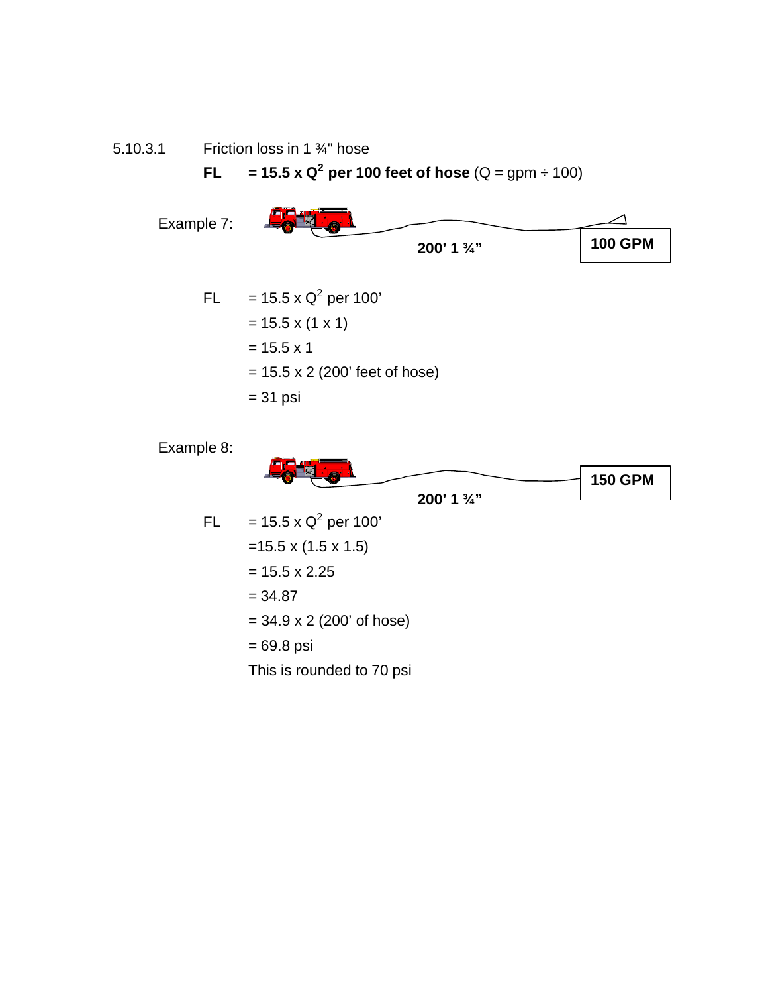5.10.3.1 Friction loss in 1 ¾" hose

**FL** = 15.5 x Q<sup>2</sup> per 100 feet of hose  $(Q = gpm + 100)$ 



= 69.8 psi

This is rounded to 70 psi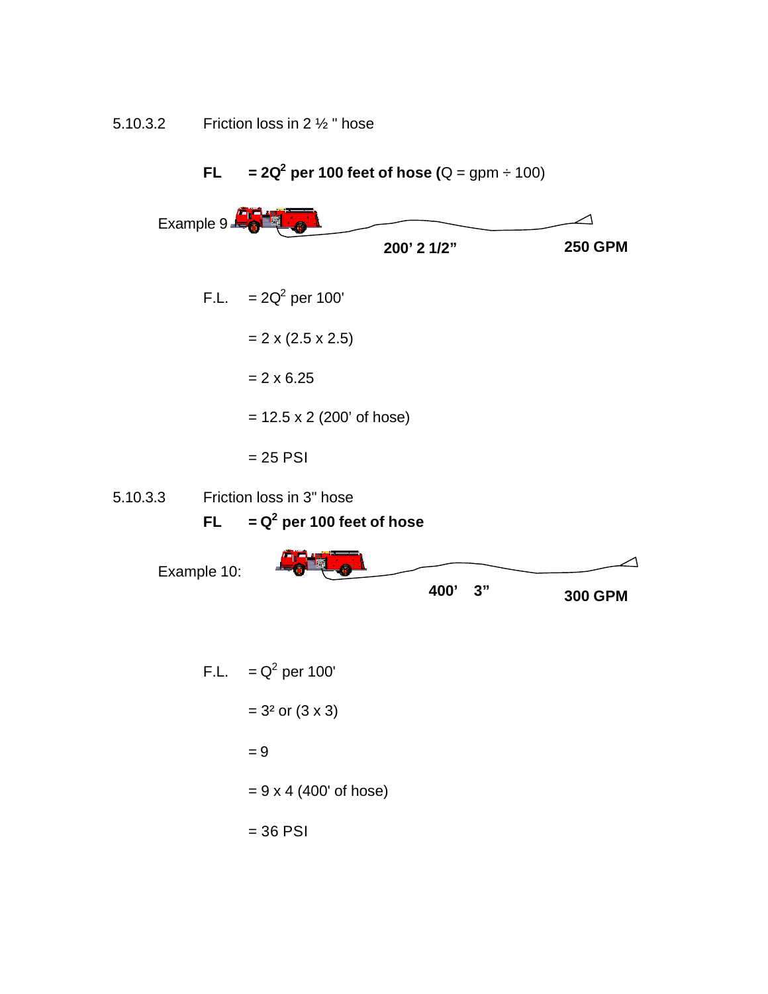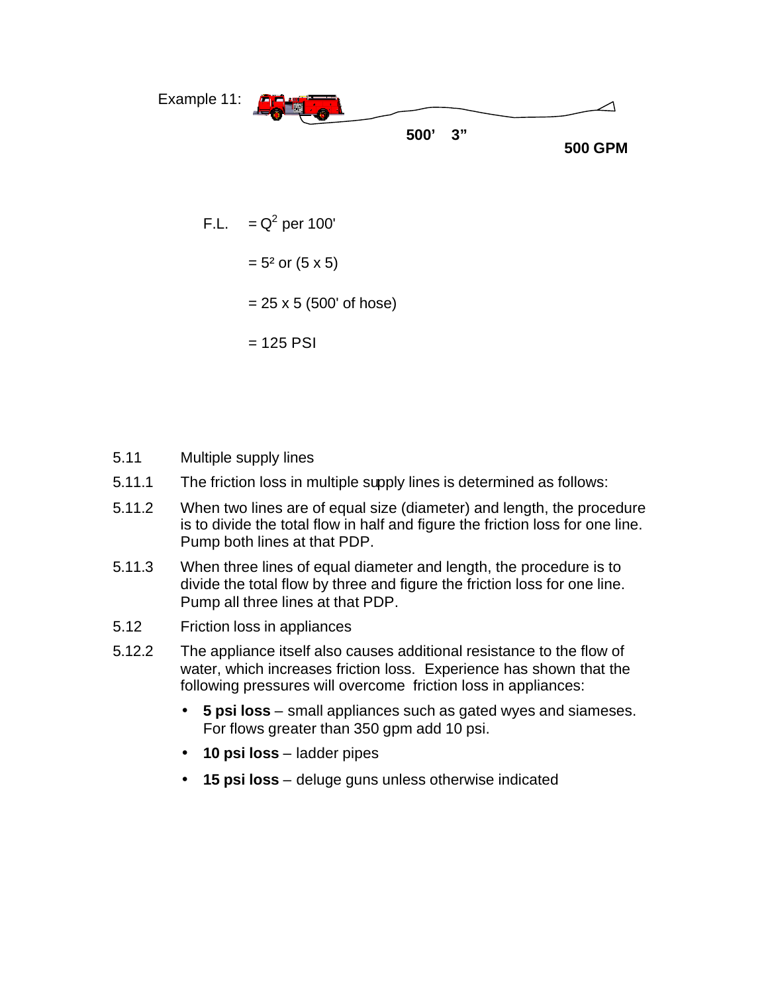

F.L. 
$$
= Q^2
$$
 per 100'  
 $= 5^2$  or (5 x 5)  
 $= 25 \times 5$  (500' of hose)  
 $= 125$  PSI

- 5.11 Multiple supply lines
- 5.11.1 The friction loss in multiple supply lines is determined as follows:
- 5.11.2 When two lines are of equal size (diameter) and length, the procedure is to divide the total flow in half and figure the friction loss for one line. Pump both lines at that PDP.
- 5.11.3 When three lines of equal diameter and length, the procedure is to divide the total flow by three and figure the friction loss for one line. Pump all three lines at that PDP.
- 5.12 Friction loss in appliances
- 5.12.2 The appliance itself also causes additional resistance to the flow of water, which increases friction loss. Experience has shown that the following pressures will overcome friction loss in appliances:
	- **5 psi loss** small appliances such as gated wyes and siameses. For flows greater than 350 gpm add 10 psi.
	- **10 psi loss** ladder pipes
	- **15 psi loss** deluge guns unless otherwise indicated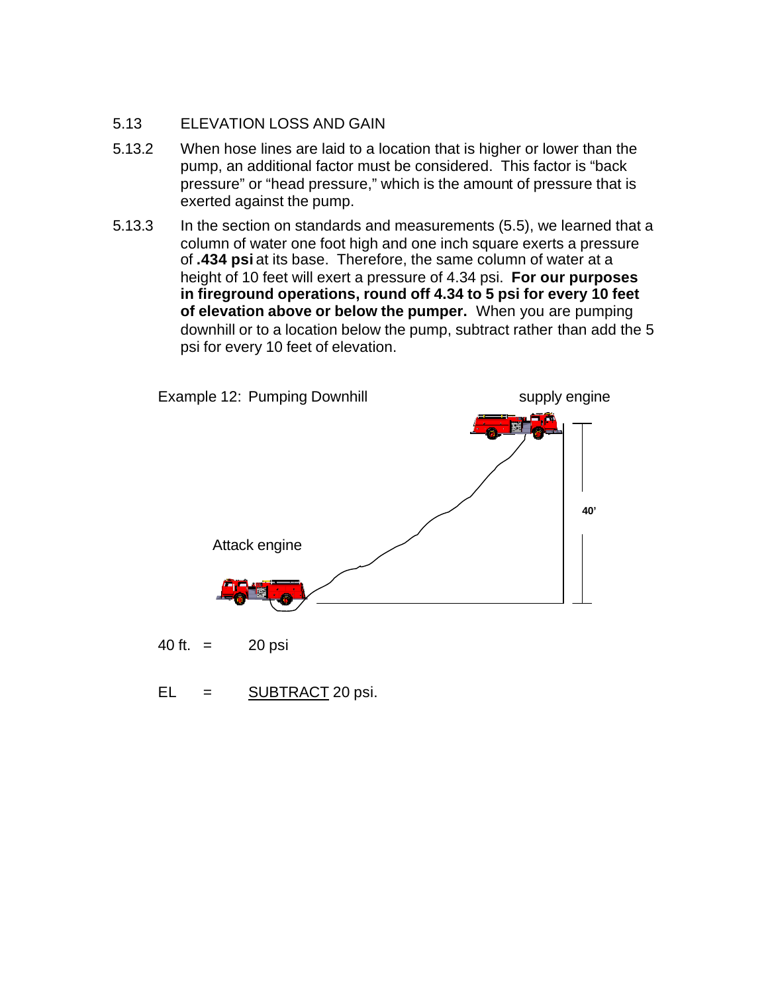### 5.13 ELEVATION LOSS AND GAIN

- 5.13.2 When hose lines are laid to a location that is higher or lower than the pump, an additional factor must be considered. This factor is "back pressure" or "head pressure," which is the amount of pressure that is exerted against the pump.
- 5.13.3 In the section on standards and measurements (5.5), we learned that a column of water one foot high and one inch square exerts a pressure of **.434 psi** at its base. Therefore, the same column of water at a height of 10 feet will exert a pressure of 4.34 psi. **For our purposes in fireground operations, round off 4.34 to 5 psi for every 10 feet of elevation above or below the pumper.** When you are pumping downhill or to a location below the pump, subtract rather than add the 5 psi for every 10 feet of elevation.



EL = SUBTRACT 20 psi.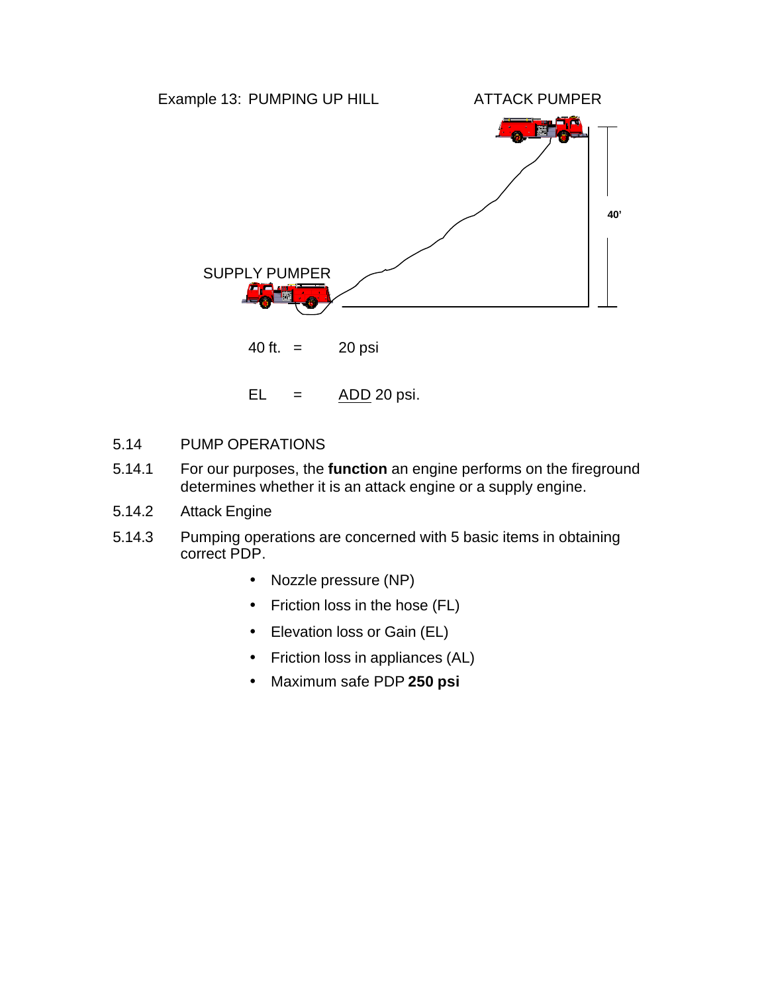

- 5.14 PUMP OPERATIONS
- 5.14.1 For our purposes, the **function** an engine performs on the fireground determines whether it is an attack engine or a supply engine.
- 5.14.2 Attack Engine
- 5.14.3 Pumping operations are concerned with 5 basic items in obtaining correct PDP.
	- Nozzle pressure (NP)
	- Friction loss in the hose (FL)
	- Elevation loss or Gain (EL)
	- Friction loss in appliances (AL)
	- Maximum safe PDP **250 psi**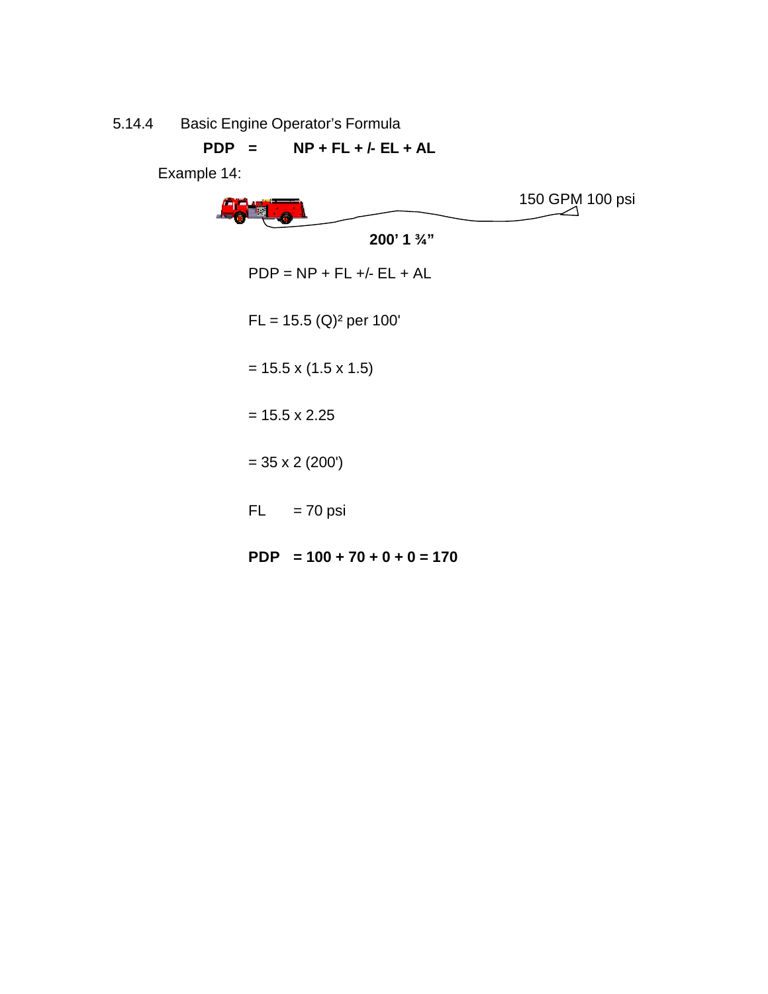5.14.4 Basic Engine Operator's Formula

**PDP = NP + FL + /- EL + AL**

Example 14:



**PDP = 100 + 70 + 0 + 0 = 170**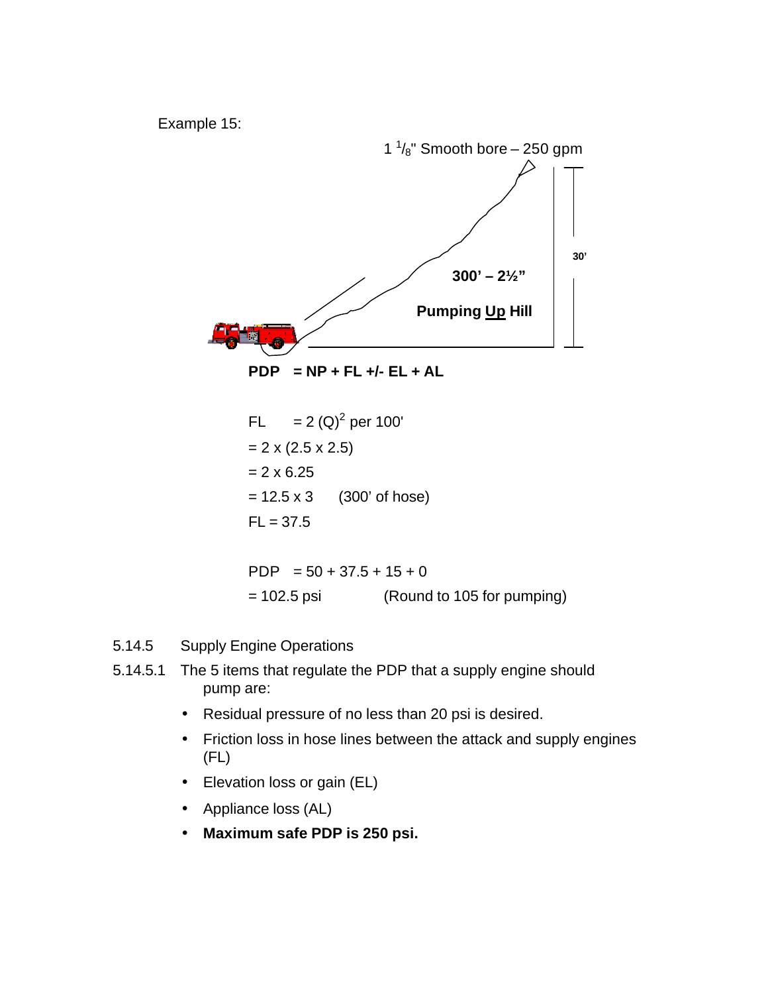Example 15:



**PDP = NP + FL +/- EL + AL**

- FL = 2 (Q)<sup>2</sup> per 100'  $= 2 \times (2.5 \times 2.5)$  $= 2 \times 6.25$  $= 12.5 \times 3$  (300' of hose)  $FL = 37.5$ PDP  $= 50 + 37.5 + 15 + 0$ 
	- = 102.5 psi (Round to 105 for pumping)
- 5.14.5 Supply Engine Operations
- 5.14.5.1 The 5 items that regulate the PDP that a supply engine should pump are:
	- Residual pressure of no less than 20 psi is desired.
	- Friction loss in hose lines between the attack and supply engines (FL)
	- Elevation loss or gain (EL)
	- Appliance loss (AL)
	- **Maximum safe PDP is 250 psi.**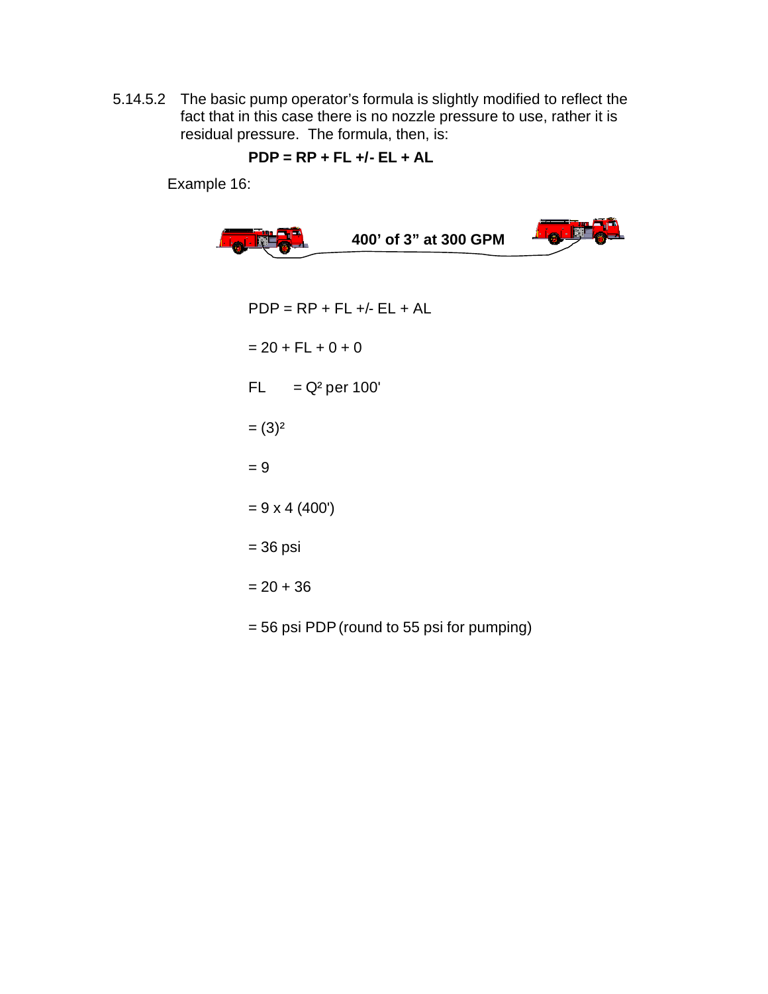5.14.5.2 The basic pump operator's formula is slightly modified to reflect the fact that in this case there is no nozzle pressure to use, rather it is residual pressure. The formula, then, is:

$$
PDP = RP + FL +/- EL + AL
$$

Example 16:

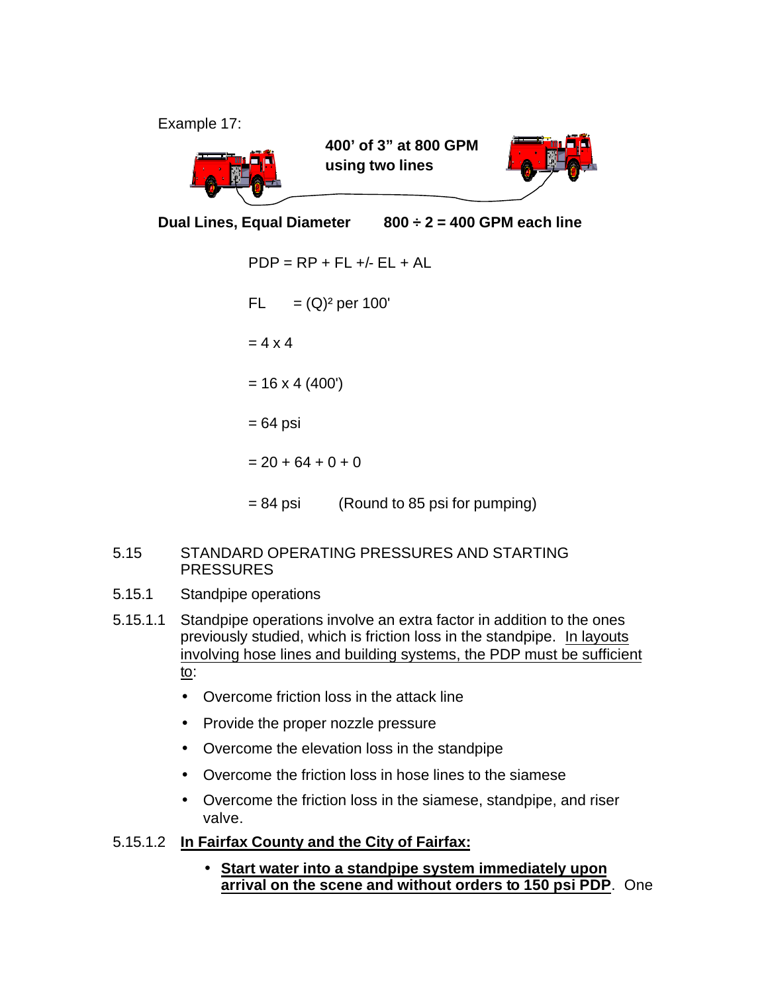Example 17:



**400' of 3" at 800 GPM using two lines**



**Dual Lines, Equal Diameter 800 ÷ 2 = 400 GPM each line**

 $PDP = RP + FL +/- EL + AL$ FL  $= (Q)^2$  per 100'  $= 4 \times 4$  $= 16 \times 4 (400')$  $= 64$  psi  $= 20 + 64 + 0 + 0$ = 84 psi (Round to 85 psi for pumping)

## 5.15 STANDARD OPERATING PRESSURES AND STARTING PRESSURES

- 5.15.1 Standpipe operations
- 5.15.1.1 Standpipe operations involve an extra factor in addition to the ones previously studied, which is friction loss in the standpipe. In layouts involving hose lines and building systems, the PDP must be sufficient to:
	- Overcome friction loss in the attack line
	- Provide the proper nozzle pressure
	- Overcome the elevation loss in the standpipe
	- Overcome the friction loss in hose lines to the siamese
	- Overcome the friction loss in the siamese, standpipe, and riser valve.

# 5.15.1.2 **In Fairfax County and the City of Fairfax:**

• **Start water into a standpipe system immediately upon arrival on the scene and without orders to 150 psi PDP**. One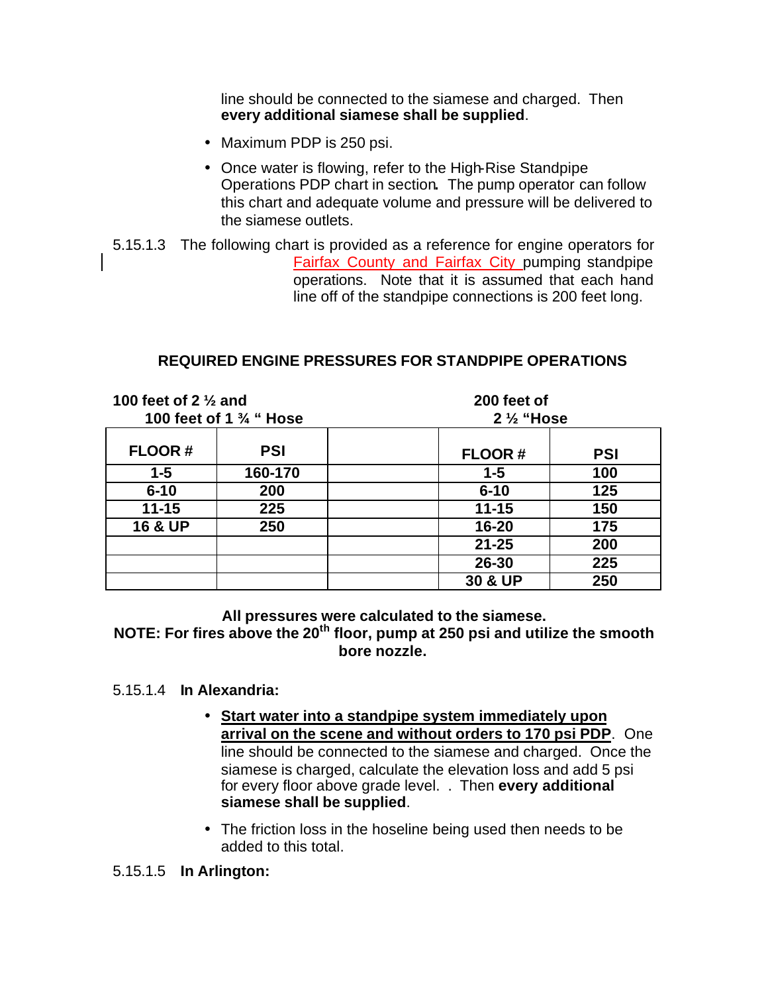line should be connected to the siamese and charged. Then **every additional siamese shall be supplied**.

- Maximum PDP is 250 psi.
- Once water is flowing, refer to the High-Rise Standpipe Operations PDP chart in section**.** The pump operator can follow this chart and adequate volume and pressure will be delivered to the siamese outlets.
- 5.15.1.3 The following chart is provided as a reference for engine operators for Fairfax County and Fairfax City pumping standpipe operations. Note that it is assumed that each hand line off of the standpipe connections is 200 feet long.

## **REQUIRED ENGINE PRESSURES FOR STANDPIPE OPERATIONS**

| 100 feet of 2 $\frac{1}{2}$ and<br>100 feet of 1 $\frac{3}{4}$ " Hose |            | 200 feet of          |            |
|-----------------------------------------------------------------------|------------|----------------------|------------|
|                                                                       |            | $2\frac{1}{2}$ "Hose |            |
| <b>FLOOR#</b>                                                         | <b>PSI</b> | <b>FLOOR#</b>        | <b>PSI</b> |
| $1 - 5$                                                               | 160-170    | $1 - 5$              | 100        |
| $6 - 10$                                                              | 200        | $6 - 10$             | 125        |
| $11 - 15$                                                             | 225        | $11 - 15$            | 150        |
| <b>16 &amp; UP</b>                                                    | 250        | $16 - 20$            | 175        |
|                                                                       |            | $21 - 25$            | 200        |
|                                                                       |            | 26-30                | 225        |
|                                                                       |            | 30 & UP              | 250        |

**All pressures were calculated to the siamese.**

**NOTE: For fires above the 20th floor, pump at 250 psi and utilize the smooth bore nozzle.**

#### 5.15.1.4 **In Alexandria:**

- **Start water into a standpipe system immediately upon arrival on the scene and without orders to 170 psi PDP**. One line should be connected to the siamese and charged. Once the siamese is charged, calculate the elevation loss and add 5 psi for every floor above grade level. . Then **every additional siamese shall be supplied**.
- The friction loss in the hoseline being used then needs to be added to this total.

5.15.1.5 **In Arlington:**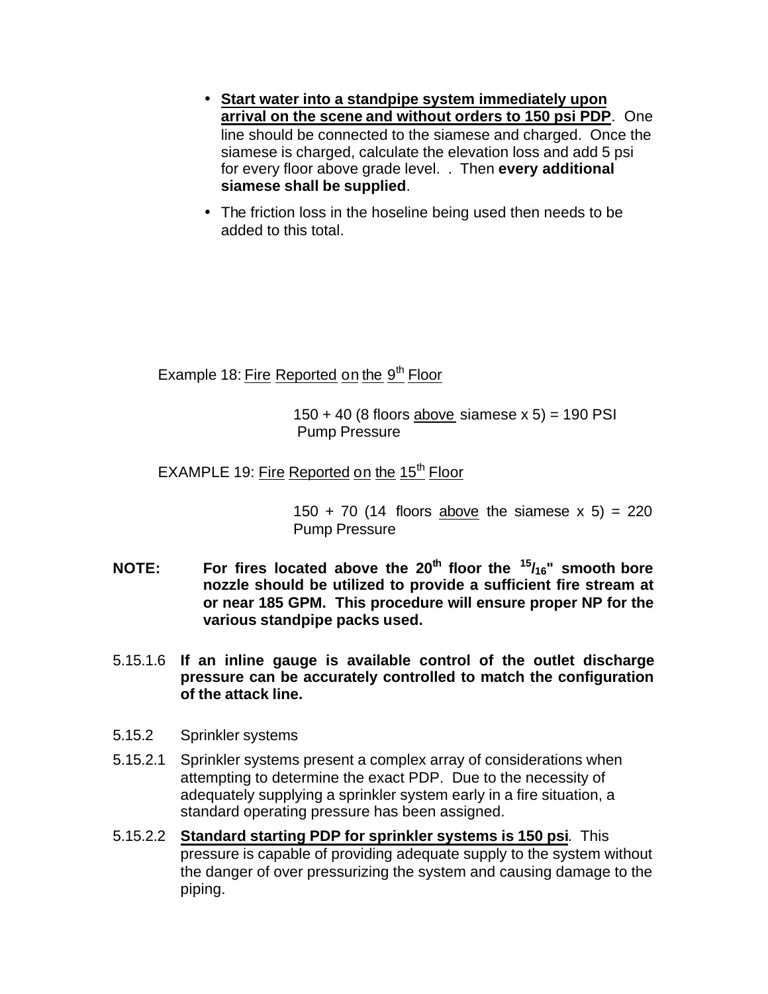- **Start water into a standpipe system immediately upon arrival on the scene and without orders to 150 psi PDP**. One line should be connected to the siamese and charged. Once the siamese is charged, calculate the elevation loss and add 5 psi for every floor above grade level. . Then **every additional siamese shall be supplied**.
- The friction loss in the hoseline being used then needs to be added to this total.

Example 18: Fire Reported on the 9<sup>th</sup> Floor

 $150 + 40$  (8 floors above siamese x 5) = 190 PSI Pump Pressure

EXAMPLE 19: Fire Reported on the  $15<sup>th</sup>$  Floor

150 + 70 (14 floors above the siamese  $x$  5) = 220 Pump Pressure

- **NOTE: For fires located above the 20th floor the <sup>15</sup>/16" smooth bore nozzle should be utilized to provide a sufficient fire stream at or near 185 GPM. This procedure will ensure proper NP for the various standpipe packs used.**
- 5.15.1.6 **If an inline gauge is available control of the outlet discharge pressure can be accurately controlled to match the configuration of the attack line.**
- 5.15.2 Sprinkler systems
- 5.15.2.1 Sprinkler systems present a complex array of considerations when attempting to determine the exact PDP. Due to the necessity of adequately supplying a sprinkler system early in a fire situation, a standard operating pressure has been assigned.
- 5.15.2.2 **Standard starting PDP for sprinkler systems is 150 psi**. This pressure is capable of providing adequate supply to the system without the danger of over pressurizing the system and causing damage to the piping.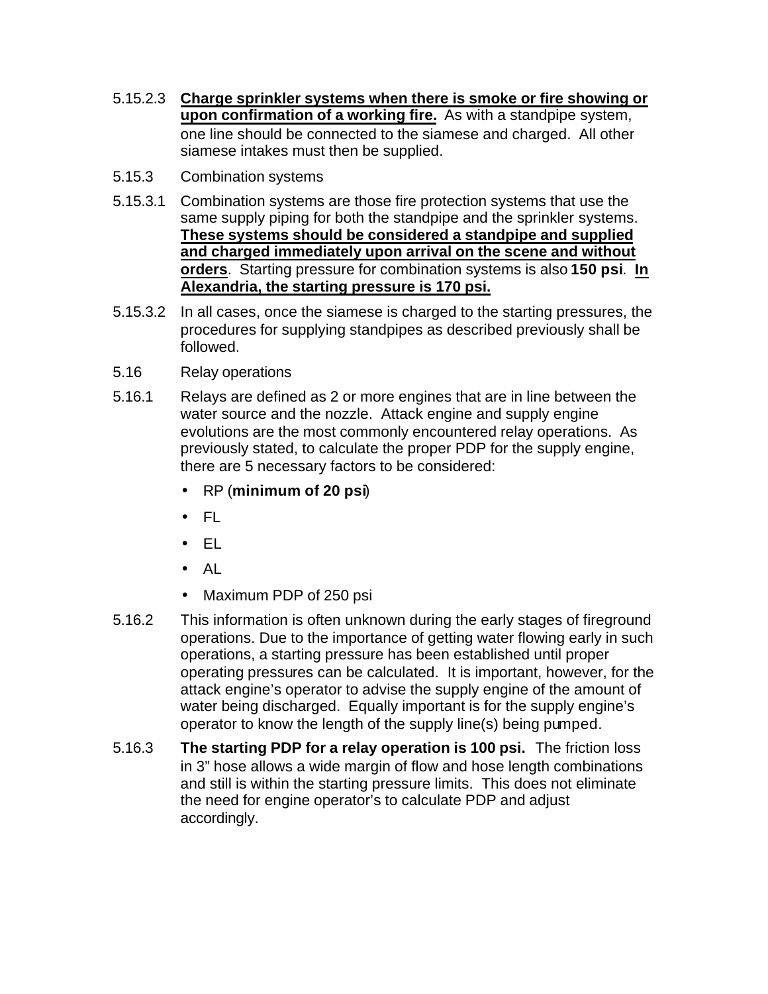- 5.15.2.3 **Charge sprinkler systems when there is smoke or fire showing or upon confirmation of a working fire.** As with a standpipe system, one line should be connected to the siamese and charged. All other siamese intakes must then be supplied.
- 5.15.3 Combination systems
- 5.15.3.1 Combination systems are those fire protection systems that use the same supply piping for both the standpipe and the sprinkler systems. **These systems should be considered a standpipe and supplied and charged immediately upon arrival on the scene and without orders**. Starting pressure for combination systems is also **150 psi**. **In Alexandria, the starting pressure is 170 psi.**
- 5.15.3.2 In all cases, once the siamese is charged to the starting pressures, the procedures for supplying standpipes as described previously shall be followed.
- 5.16 Relay operations
- 5.16.1 Relays are defined as 2 or more engines that are in line between the water source and the nozzle. Attack engine and supply engine evolutions are the most commonly encountered relay operations. As previously stated, to calculate the proper PDP for the supply engine, there are 5 necessary factors to be considered:
	- RP (**minimum of 20 psi**)
	- FL
	- EL
	- AL
	- Maximum PDP of 250 psi
- 5.16.2 This information is often unknown during the early stages of fireground operations. Due to the importance of getting water flowing early in such operations, a starting pressure has been established until proper operating pressures can be calculated. It is important, however, for the attack engine's operator to advise the supply engine of the amount of water being discharged. Equally important is for the supply engine's operator to know the length of the supply line(s) being pumped.
- 5.16.3 **The starting PDP for a relay operation is 100 psi.** The friction loss in 3" hose allows a wide margin of flow and hose length combinations and still is within the starting pressure limits. This does not eliminate the need for engine operator's to calculate PDP and adjust accordingly.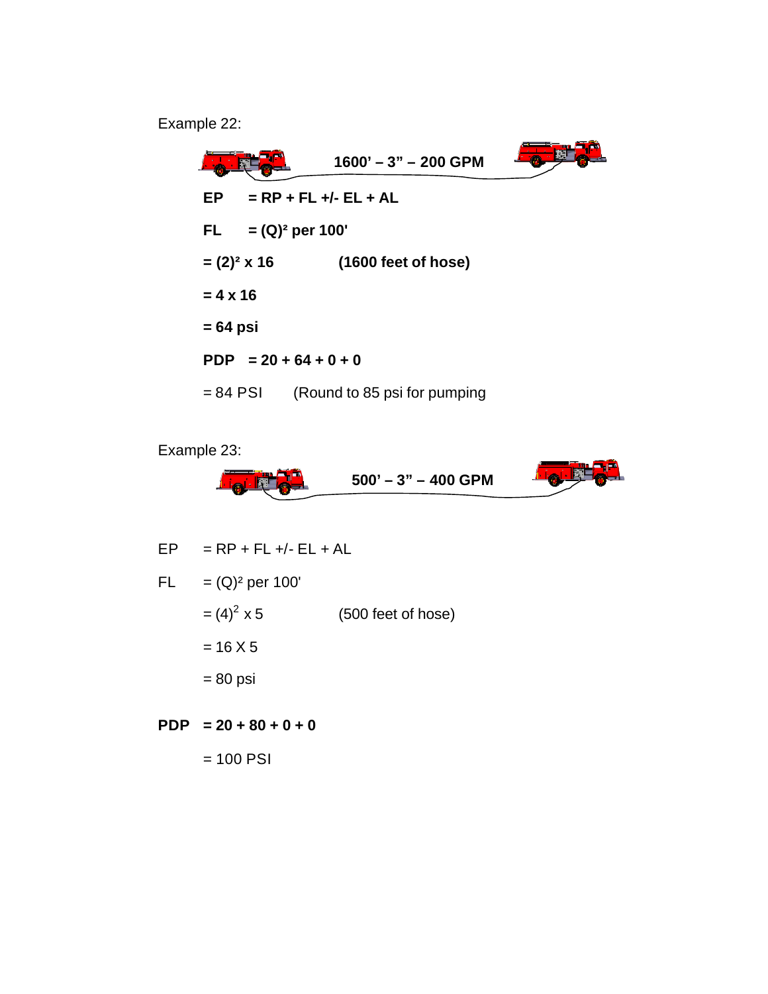Example 22:

 $\bullet$   $\overline{\bullet}$ **1600' – 3" – 200 GPMEP = RP + FL +/- EL + AL FL = (Q)² per 100' = (2)² x 16 (1600 feet of hose) = 4 x 16 = 64 psi PDP = 20 + 64 + 0 + 0** = 84 PSI (Round to 85 psi for pumping

Example 23:



$$
EP = RP + FL +/- EL + AL
$$
  
FL = (Q)<sup>2</sup> per 100'  
= (4)<sup>2</sup> x 5 (500 feet of hose)  
= 16 X 5  
= 80 psi

**PDP = 20 + 80 + 0 + 0**  $= 100$  PSI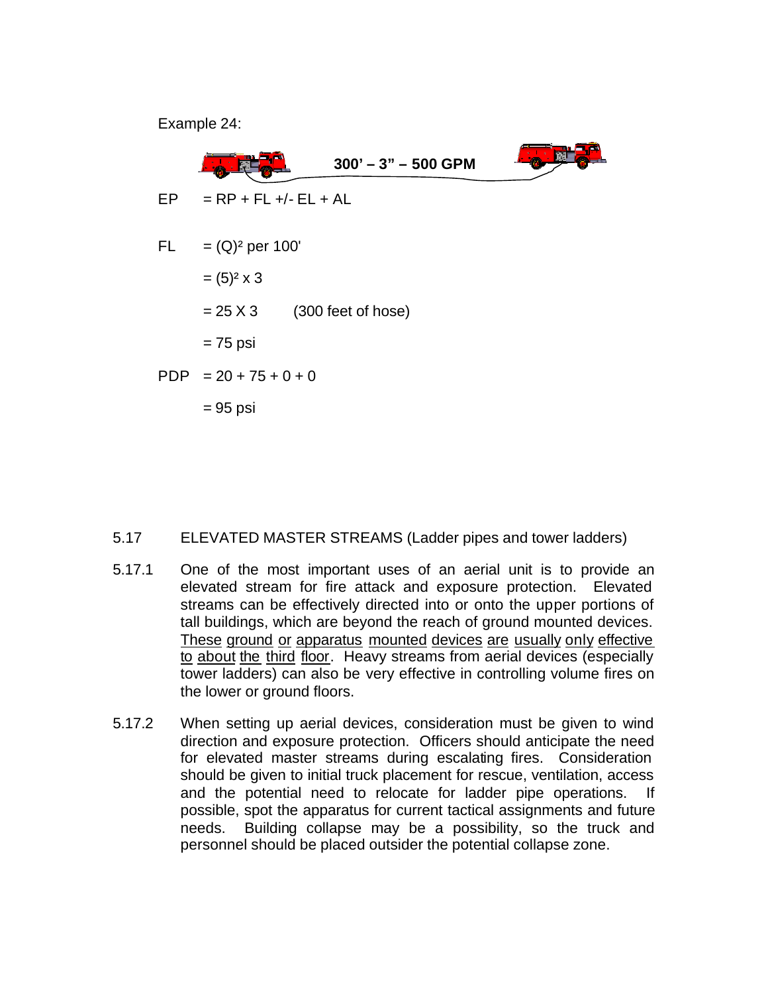Example 24:



#### 5.17 ELEVATED MASTER STREAMS (Ladder pipes and tower ladders)

- 5.17.1 One of the most important uses of an aerial unit is to provide an elevated stream for fire attack and exposure protection. Elevated streams can be effectively directed into or onto the upper portions of tall buildings, which are beyond the reach of ground mounted devices. These ground or apparatus mounted devices are usually only effective to about the third floor. Heavy streams from aerial devices (especially tower ladders) can also be very effective in controlling volume fires on the lower or ground floors.
- 5.17.2 When setting up aerial devices, consideration must be given to wind direction and exposure protection. Officers should anticipate the need for elevated master streams during escalating fires. Consideration should be given to initial truck placement for rescue, ventilation, access and the potential need to relocate for ladder pipe operations. If possible, spot the apparatus for current tactical assignments and future needs. Building collapse may be a possibility, so the truck and personnel should be placed outsider the potential collapse zone.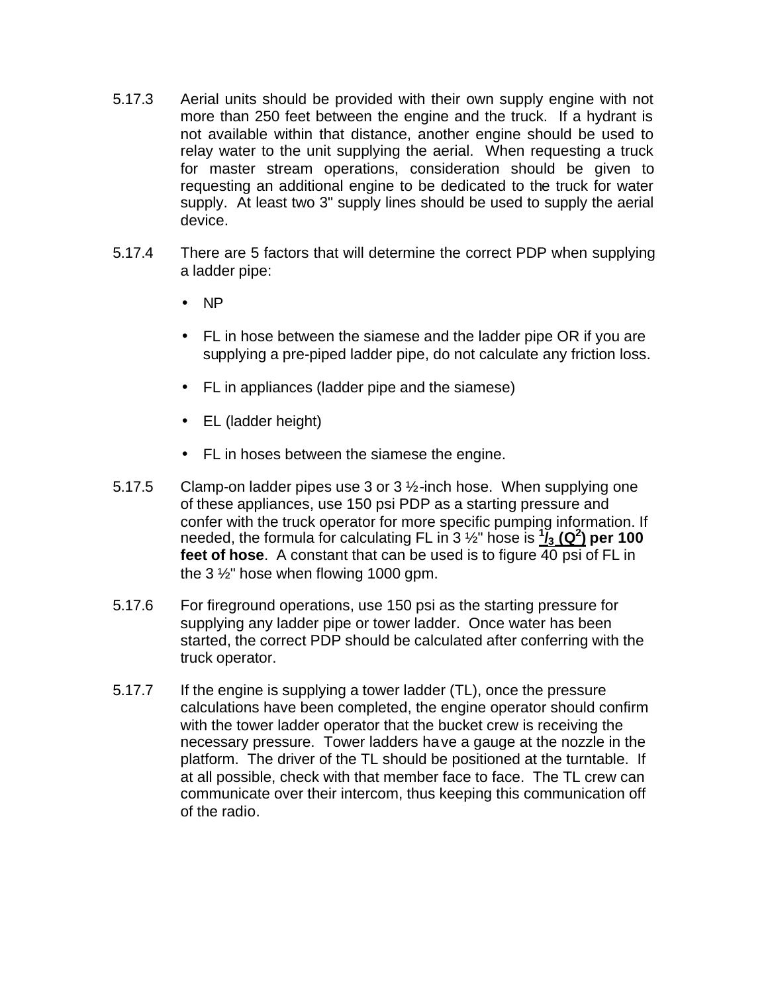- 5.17.3 Aerial units should be provided with their own supply engine with not more than 250 feet between the engine and the truck. If a hydrant is not available within that distance, another engine should be used to relay water to the unit supplying the aerial. When requesting a truck for master stream operations, consideration should be given to requesting an additional engine to be dedicated to the truck for water supply. At least two 3" supply lines should be used to supply the aerial device.
- 5.17.4 There are 5 factors that will determine the correct PDP when supplying a ladder pipe:
	- NP
	- FL in hose between the siamese and the ladder pipe OR if you are supplying a pre-piped ladder pipe, do not calculate any friction loss.
	- FL in appliances (ladder pipe and the siamese)
	- EL (ladder height)
	- FL in hoses between the siamese the engine.
- 5.17.5 Clamp-on ladder pipes use 3 or 3 ½-inch hose. When supplying one of these appliances, use 150 psi PDP as a starting pressure and confer with the truck operator for more specific pumping information. If needed, the formula for calculating FL in 3 ½" hose is **<sup>1</sup> /3 (Q<sup>2</sup> ) per 100 feet of hose**. A constant that can be used is to figure 40 psi of FL in the 3 ½" hose when flowing 1000 gpm.
- 5.17.6 For fireground operations, use 150 psi as the starting pressure for supplying any ladder pipe or tower ladder. Once water has been started, the correct PDP should be calculated after conferring with the truck operator.
- 5.17.7 If the engine is supplying a tower ladder (TL), once the pressure calculations have been completed, the engine operator should confirm with the tower ladder operator that the bucket crew is receiving the necessary pressure. Tower ladders have a gauge at the nozzle in the platform. The driver of the TL should be positioned at the turntable. If at all possible, check with that member face to face. The TL crew can communicate over their intercom, thus keeping this communication off of the radio.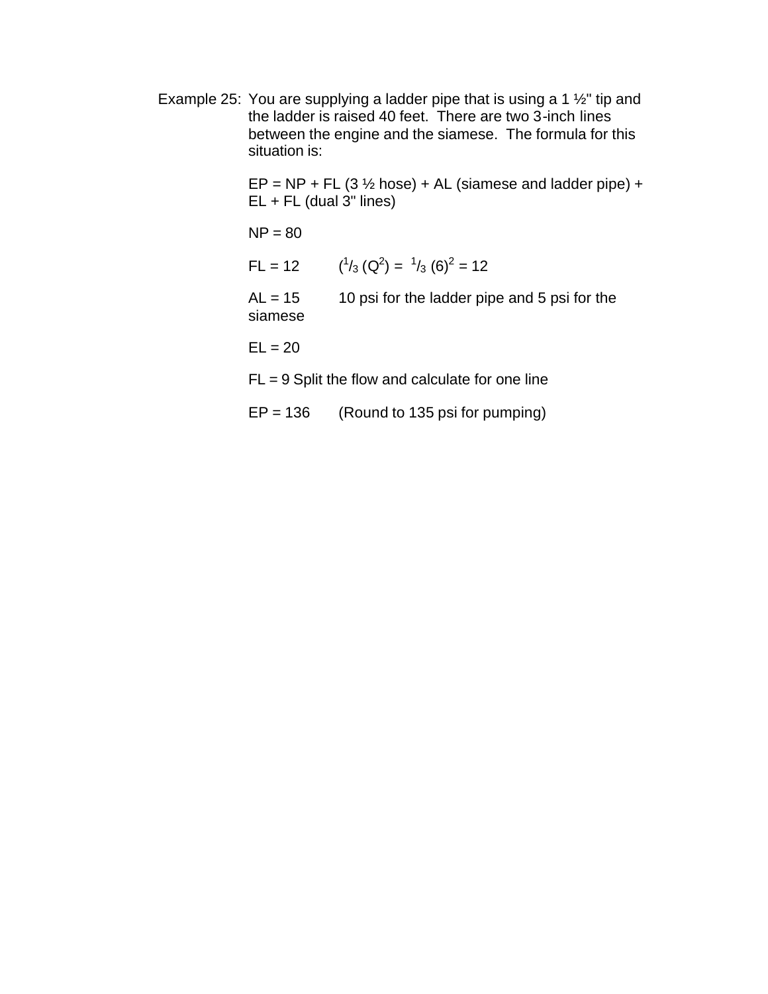Example 25: You are supplying a ladder pipe that is using a 1 ½" tip and the ladder is raised 40 feet. There are two 3-inch lines between the engine and the siamese. The formula for this situation is:

> $EP = NP + FL$  (3  $\frac{1}{2}$  hose) + AL (siamese and ladder pipe) +  $EL + FL$  (dual  $3"$  lines)

 $NP = 80$ 

 $FL = 12$  $\frac{1}{3}$  (Q<sup>2</sup>) =  $\frac{1}{3}$  (6)<sup>2</sup> = 12

 $AL = 15$  10 psi for the ladder pipe and 5 psi for the siamese

 $EL = 20$ 

 $FL = 9$  Split the flow and calculate for one line

 $EP = 136$  (Round to 135 psi for pumping)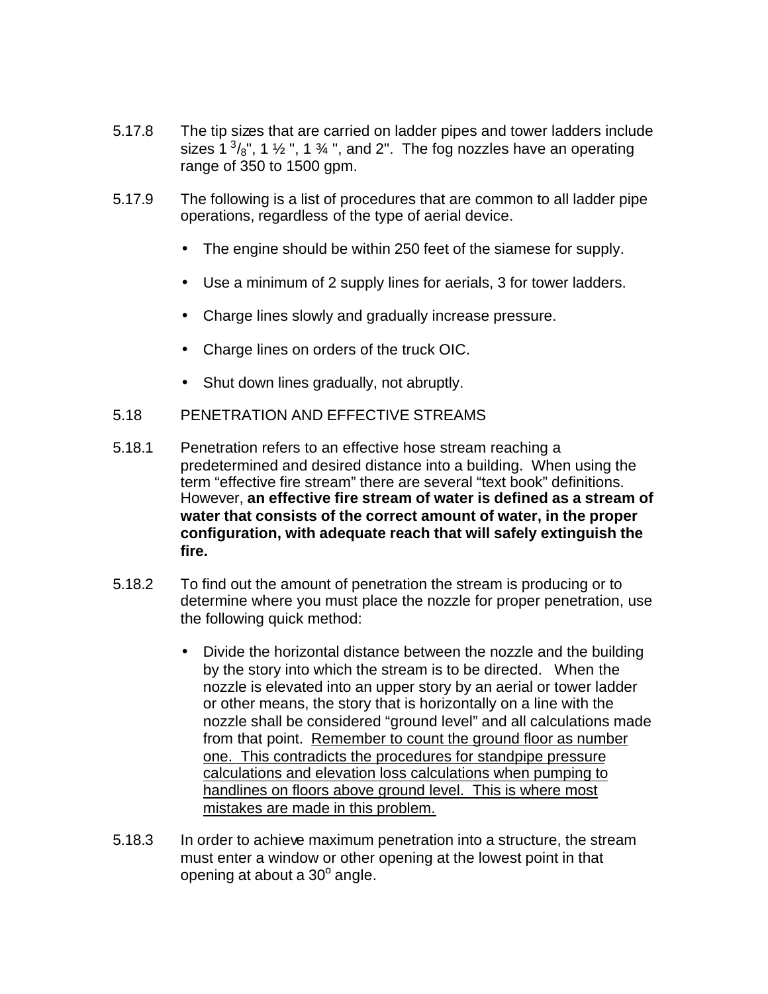- 5.17.8 The tip sizes that are carried on ladder pipes and tower ladders include sizes 1 $3/8$ ", 1  $\frac{1}{2}$ ", 1  $\frac{3}{4}$ ", and 2". The fog nozzles have an operating range of 350 to 1500 gpm.
- 5.17.9 The following is a list of procedures that are common to all ladder pipe operations, regardless of the type of aerial device.
	- The engine should be within 250 feet of the siamese for supply.
	- Use a minimum of 2 supply lines for aerials, 3 for tower ladders.
	- Charge lines slowly and gradually increase pressure.
	- Charge lines on orders of the truck OIC.
	- Shut down lines gradually, not abruptly.
- 5.18 PENETRATION AND EFFECTIVE STREAMS
- 5.18.1 Penetration refers to an effective hose stream reaching a predetermined and desired distance into a building. When using the term "effective fire stream" there are several "text book" definitions. However, **an effective fire stream of water is defined as a stream of water that consists of the correct amount of water, in the proper configuration, with adequate reach that will safely extinguish the fire.**
- 5.18.2 To find out the amount of penetration the stream is producing or to determine where you must place the nozzle for proper penetration, use the following quick method:
	- Divide the horizontal distance between the nozzle and the building by the story into which the stream is to be directed. When the nozzle is elevated into an upper story by an aerial or tower ladder or other means, the story that is horizontally on a line with the nozzle shall be considered "ground level" and all calculations made from that point. Remember to count the ground floor as number one. This contradicts the procedures for standpipe pressure calculations and elevation loss calculations when pumping to handlines on floors above ground level. This is where most mistakes are made in this problem.
- 5.18.3 In order to achieve maximum penetration into a structure, the stream must enter a window or other opening at the lowest point in that opening at about a 30° angle.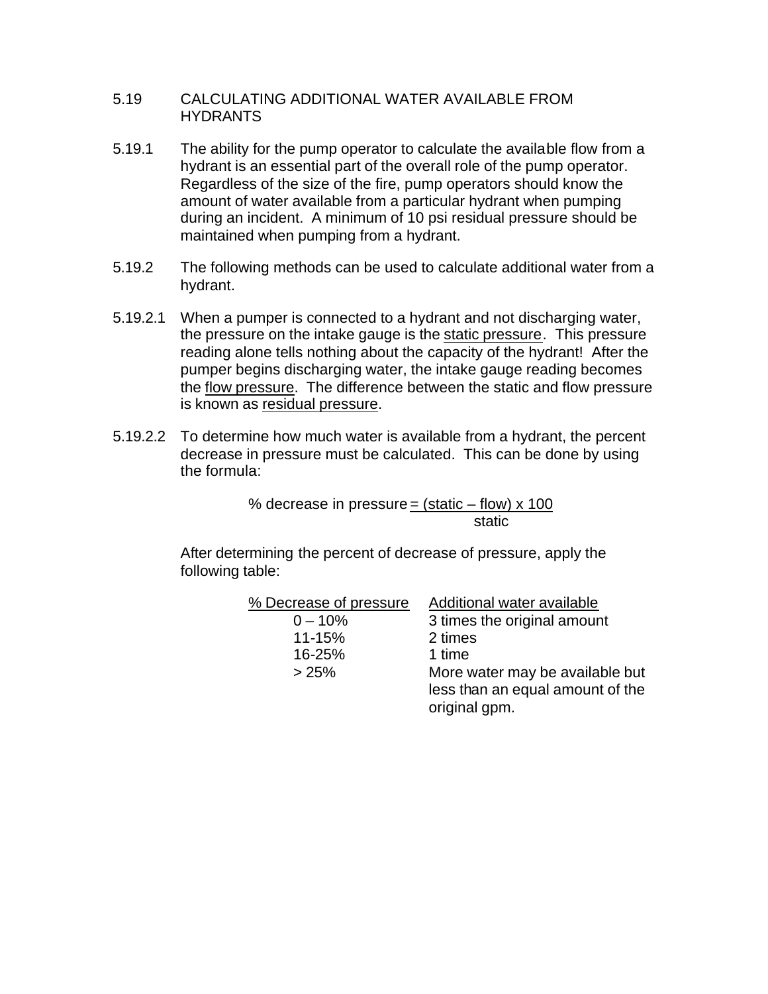#### 5.19 CALCULATING ADDITIONAL WATER AVAILABLE FROM HYDRANTS

- 5.19.1 The ability for the pump operator to calculate the available flow from a hydrant is an essential part of the overall role of the pump operator. Regardless of the size of the fire, pump operators should know the amount of water available from a particular hydrant when pumping during an incident. A minimum of 10 psi residual pressure should be maintained when pumping from a hydrant.
- 5.19.2 The following methods can be used to calculate additional water from a hydrant.
- 5.19.2.1 When a pumper is connected to a hydrant and not discharging water, the pressure on the intake gauge is the static pressure. This pressure reading alone tells nothing about the capacity of the hydrant! After the pumper begins discharging water, the intake gauge reading becomes the flow pressure. The difference between the static and flow pressure is known as residual pressure.
- 5.19.2.2 To determine how much water is available from a hydrant, the percent decrease in pressure must be calculated. This can be done by using the formula:

% decrease in pressure = (static  $-$  flow) x 100 static

After determining the percent of decrease of pressure, apply the following table:

| % Decrease of pressure | Additional water available                                                           |
|------------------------|--------------------------------------------------------------------------------------|
| $0 - 10%$              | 3 times the original amount                                                          |
| 11-15%                 | 2 times                                                                              |
| 16-25%                 | 1 time                                                                               |
| >25%                   | More water may be available but<br>less than an equal amount of the<br>original gpm. |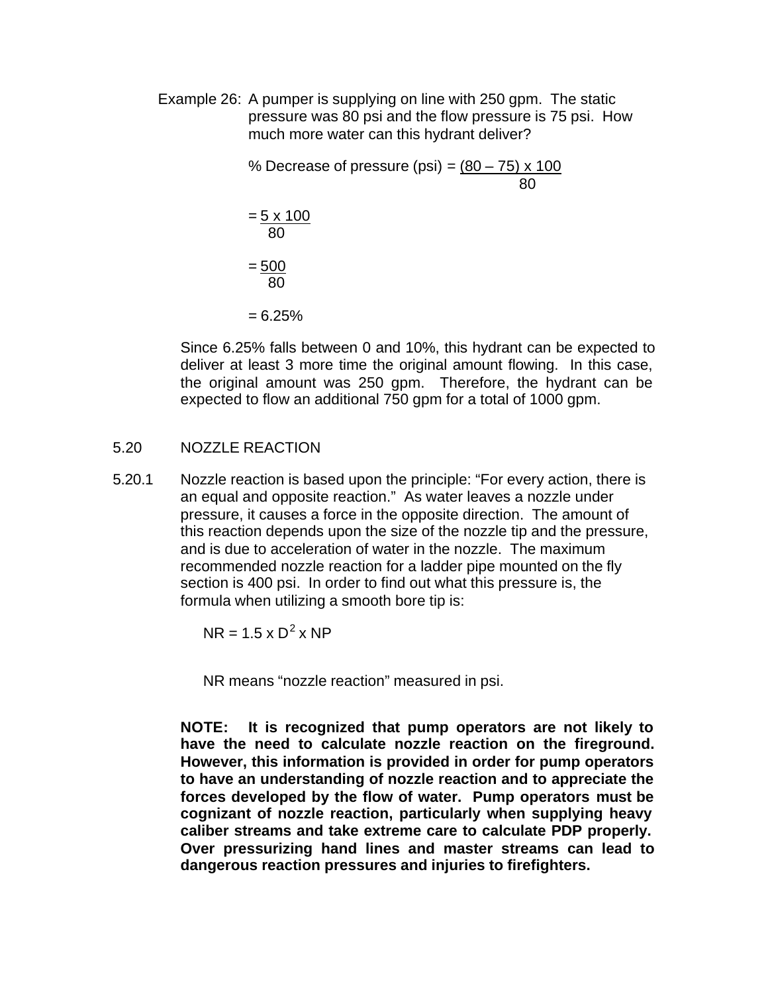Example 26: A pumper is supplying on line with 250 gpm. The static pressure was 80 psi and the flow pressure is 75 psi. How much more water can this hydrant deliver?

> % Decrease of pressure (psi) =  $(80 - 75) \times 100$ 80  $= 5 \times 100$  80  $= 500$  80  $= 6.25\%$

Since 6.25% falls between 0 and 10%, this hydrant can be expected to deliver at least 3 more time the original amount flowing. In this case, the original amount was 250 gpm. Therefore, the hydrant can be expected to flow an additional 750 gpm for a total of 1000 gpm.

#### 5.20 NOZZLE REACTION

5.20.1 Nozzle reaction is based upon the principle: "For every action, there is an equal and opposite reaction." As water leaves a nozzle under pressure, it causes a force in the opposite direction. The amount of this reaction depends upon the size of the nozzle tip and the pressure, and is due to acceleration of water in the nozzle. The maximum recommended nozzle reaction for a ladder pipe mounted on the fly section is 400 psi. In order to find out what this pressure is, the formula when utilizing a smooth bore tip is:

 $NR = 1.5 \times D^2 \times NP$ 

NR means "nozzle reaction" measured in psi.

**NOTE: It is recognized that pump operators are not likely to have the need to calculate nozzle reaction on the fireground. However, this information is provided in order for pump operators to have an understanding of nozzle reaction and to appreciate the forces developed by the flow of water. Pump operators must be cognizant of nozzle reaction, particularly when supplying heavy caliber streams and take extreme care to calculate PDP properly. Over pressurizing hand lines and master streams can lead to dangerous reaction pressures and injuries to firefighters.**